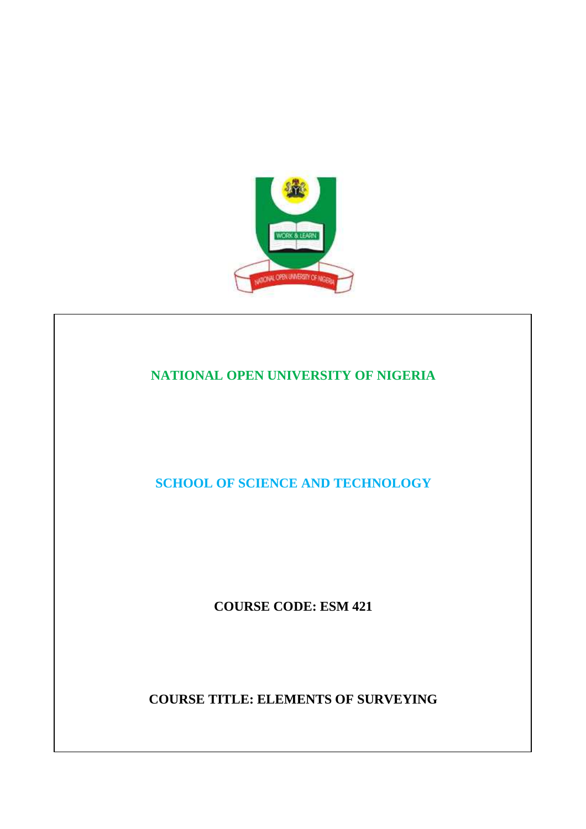

# **NATIONAL OPEN UNIVERSITY OF NIGERIA**

**SCHOOL OF SCIENCE AND TECHNOLOGY** 

**COURSE CODE: ESM 421** 

**COURSE TITLE: ELEMENTS OF SURVEYING**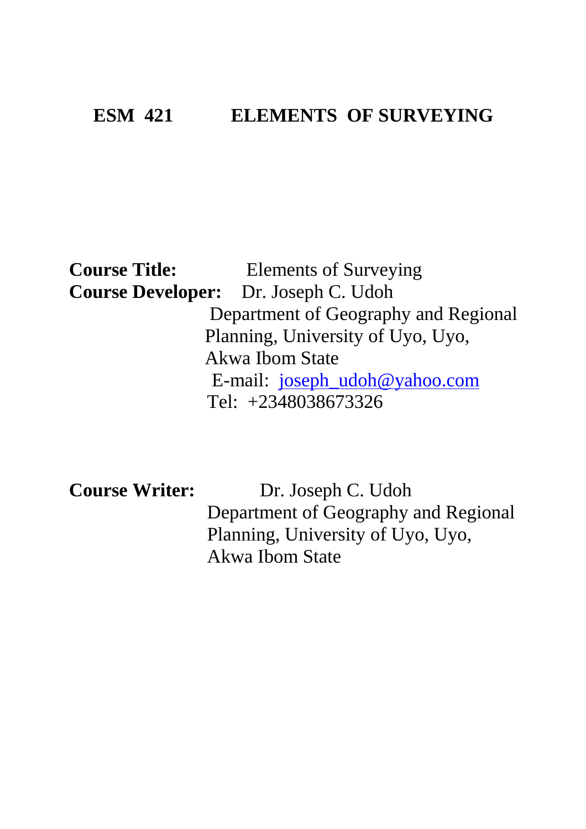# **ESM 421 ELEMENTS OF SURVEYING**

# **Course Title:** Elements of Surveying **Course Developer:** Dr. Joseph C. Udoh Department of Geography and Regional Planning, University of Uyo, Uyo, Akwa Ibom State E-mail: joseph\_udoh@yahoo.com Tel: +2348038673326

**Course Writer:** Dr. Joseph C. Udoh Department of Geography and Regional Planning, University of Uyo, Uyo, Akwa Ibom State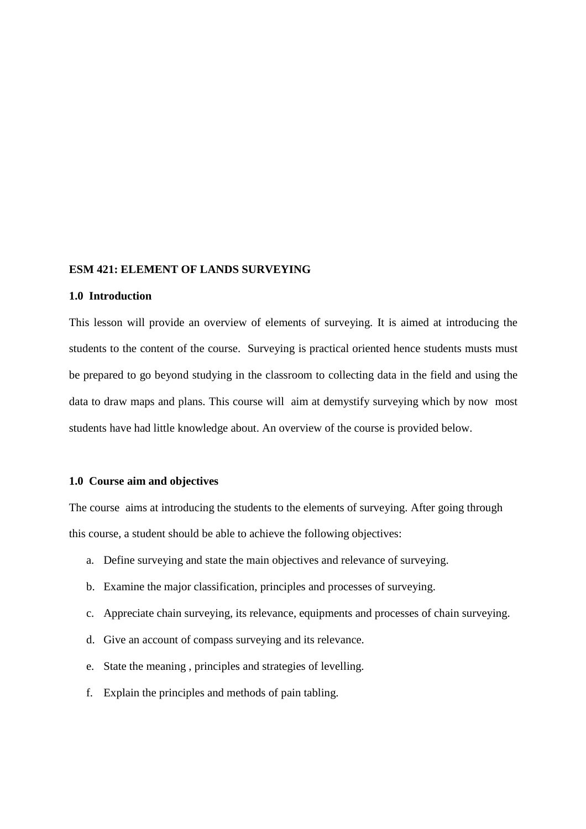#### **ESM 421: ELEMENT OF LANDS SURVEYING**

## **1.0 Introduction**

This lesson will provide an overview of elements of surveying. It is aimed at introducing the students to the content of the course. Surveying is practical oriented hence students musts must be prepared to go beyond studying in the classroom to collecting data in the field and using the data to draw maps and plans. This course will aim at demystify surveying which by now most students have had little knowledge about. An overview of the course is provided below.

#### **1.0 Course aim and objectives**

The course aims at introducing the students to the elements of surveying. After going through this course, a student should be able to achieve the following objectives:

- a. Define surveying and state the main objectives and relevance of surveying.
- b. Examine the major classification, principles and processes of surveying.
- c. Appreciate chain surveying, its relevance, equipments and processes of chain surveying.
- d. Give an account of compass surveying and its relevance.
- e. State the meaning , principles and strategies of levelling.
- f. Explain the principles and methods of pain tabling.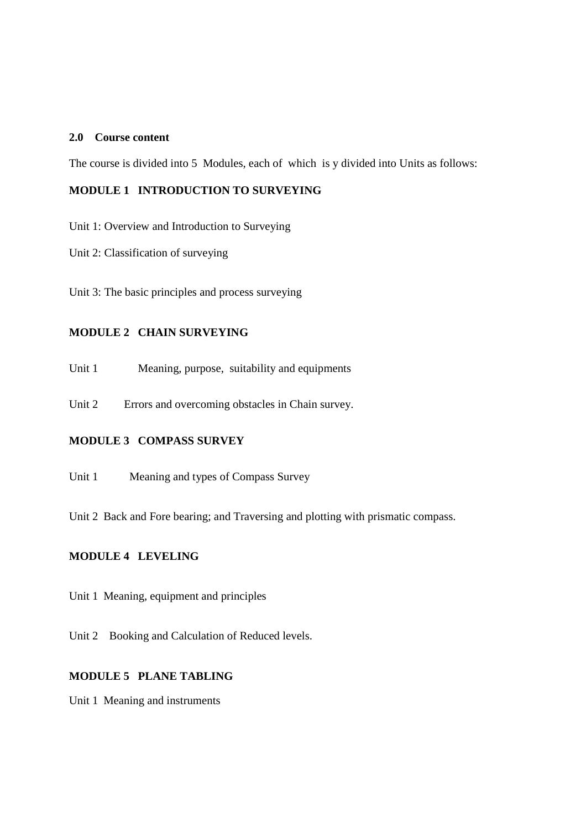# **2.0 Course content**

The course is divided into 5 Modules, each of which is y divided into Units as follows:

# **MODULE 1 INTRODUCTION TO SURVEYING**

Unit 1: Overview and Introduction to Surveying

Unit 2: Classification of surveying

Unit 3: The basic principles and process surveying

# **MODULE 2 CHAIN SURVEYING**

Unit 1 Meaning, purpose, suitability and equipments

Unit 2 Errors and overcoming obstacles in Chain survey.

# **MODULE 3 COMPASS SURVEY**

Unit 1 Meaning and types of Compass Survey

Unit 2 Back and Fore bearing; and Traversing and plotting with prismatic compass.

# **MODULE 4 LEVELING**

Unit 1 Meaning, equipment and principles

Unit 2 Booking and Calculation of Reduced levels.

# **MODULE 5 PLANE TABLING**

Unit 1 Meaning and instruments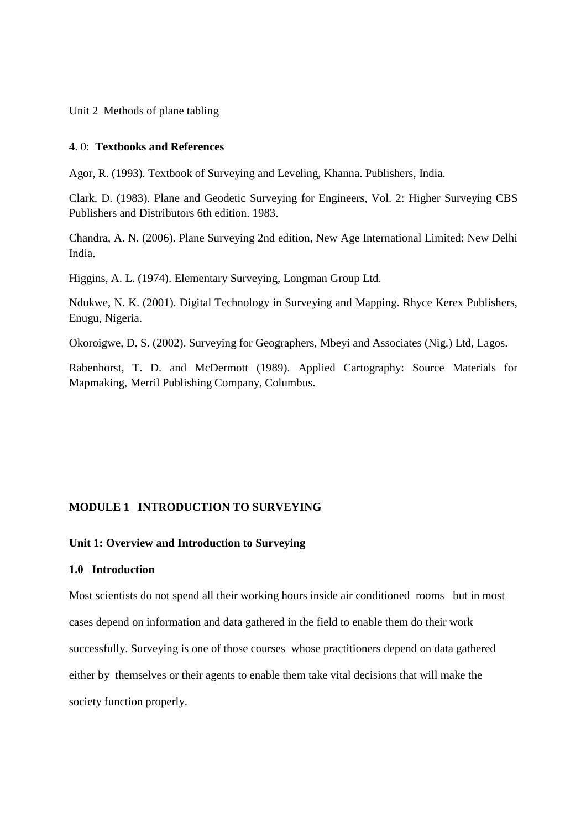Unit 2 Methods of plane tabling

## 4. 0: **Textbooks and References**

Agor, R. (1993). Textbook of Surveying and Leveling, Khanna. Publishers, India.

Clark, D. (1983). Plane and Geodetic Surveying for Engineers, Vol. 2: Higher Surveying CBS Publishers and Distributors 6th edition. 1983.

Chandra, A. N. (2006). Plane Surveying 2nd edition, New Age International Limited: New Delhi India.

Higgins, A. L. (1974). Elementary Surveying, Longman Group Ltd.

Ndukwe, N. K. (2001). Digital Technology in Surveying and Mapping. Rhyce Kerex Publishers, Enugu, Nigeria.

Okoroigwe, D. S. (2002). Surveying for Geographers, Mbeyi and Associates (Nig.) Ltd, Lagos.

Rabenhorst, T. D. and McDermott (1989). Applied Cartography: Source Materials for Mapmaking, Merril Publishing Company, Columbus.

## **MODULE 1 INTRODUCTION TO SURVEYING**

# **Unit 1: Overview and Introduction to Surveying**

#### **1.0 Introduction**

Most scientists do not spend all their working hours inside air conditioned rooms but in most cases depend on information and data gathered in the field to enable them do their work successfully. Surveying is one of those courses whose practitioners depend on data gathered either by themselves or their agents to enable them take vital decisions that will make the society function properly.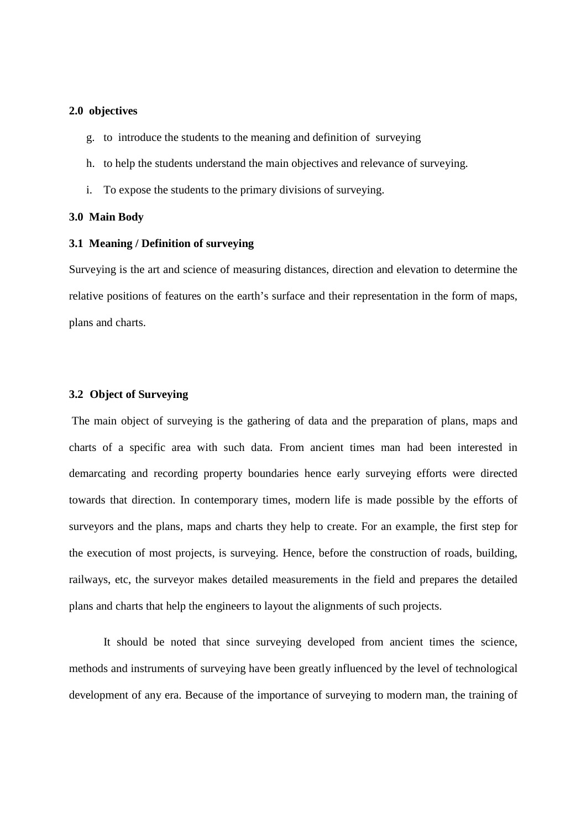#### **2.0 objectives**

- g. to introduce the students to the meaning and definition of surveying
- h. to help the students understand the main objectives and relevance of surveying.
- i. To expose the students to the primary divisions of surveying.

#### **3.0 Main Body**

#### **3.1 Meaning / Definition of surveying**

Surveying is the art and science of measuring distances, direction and elevation to determine the relative positions of features on the earth's surface and their representation in the form of maps, plans and charts.

#### **3.2 Object of Surveying**

The main object of surveying is the gathering of data and the preparation of plans, maps and charts of a specific area with such data. From ancient times man had been interested in demarcating and recording property boundaries hence early surveying efforts were directed towards that direction. In contemporary times, modern life is made possible by the efforts of surveyors and the plans, maps and charts they help to create. For an example, the first step for the execution of most projects, is surveying. Hence, before the construction of roads, building, railways, etc, the surveyor makes detailed measurements in the field and prepares the detailed plans and charts that help the engineers to layout the alignments of such projects.

 It should be noted that since surveying developed from ancient times the science, methods and instruments of surveying have been greatly influenced by the level of technological development of any era. Because of the importance of surveying to modern man, the training of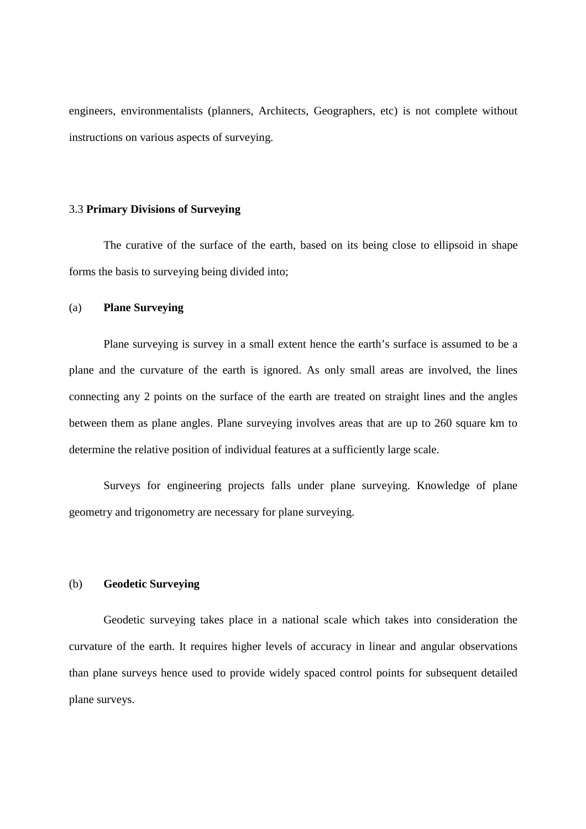engineers, environmentalists (planners, Architects, Geographers, etc) is not complete without instructions on various aspects of surveying.

#### 3.3 **Primary Divisions of Surveying**

The curative of the surface of the earth, based on its being close to ellipsoid in shape forms the basis to surveying being divided into;

#### (a) **Plane Surveying**

Plane surveying is survey in a small extent hence the earth's surface is assumed to be a plane and the curvature of the earth is ignored. As only small areas are involved, the lines connecting any 2 points on the surface of the earth are treated on straight lines and the angles between them as plane angles. Plane surveying involves areas that are up to 260 square km to determine the relative position of individual features at a sufficiently large scale.

 Surveys for engineering projects falls under plane surveying. Knowledge of plane geometry and trigonometry are necessary for plane surveying.

#### (b) **Geodetic Surveying**

Geodetic surveying takes place in a national scale which takes into consideration the curvature of the earth. It requires higher levels of accuracy in linear and angular observations than plane surveys hence used to provide widely spaced control points for subsequent detailed plane surveys.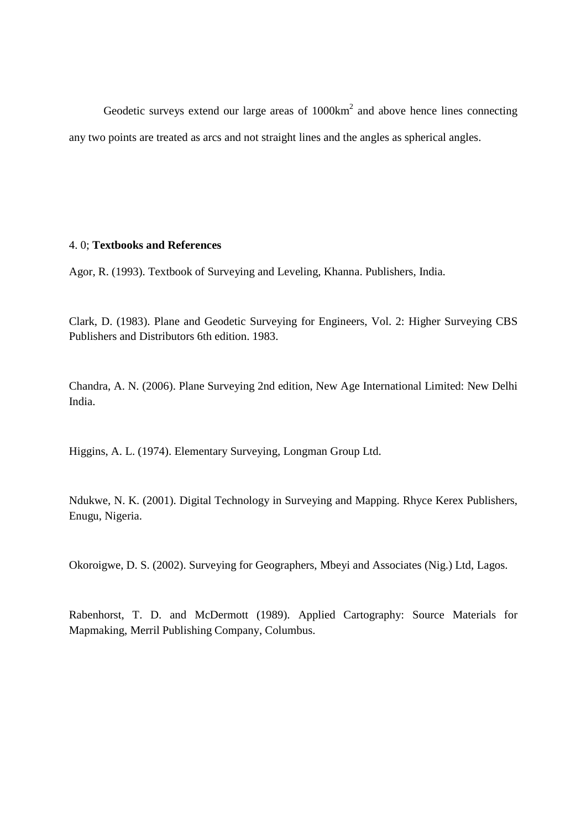Geodetic surveys extend our large areas of  $1000 \text{km}^2$  and above hence lines connecting any two points are treated as arcs and not straight lines and the angles as spherical angles.

# 4. 0; **Textbooks and References**

Agor, R. (1993). Textbook of Surveying and Leveling, Khanna. Publishers, India.

Clark, D. (1983). Plane and Geodetic Surveying for Engineers, Vol. 2: Higher Surveying CBS Publishers and Distributors 6th edition. 1983.

Chandra, A. N. (2006). Plane Surveying 2nd edition, New Age International Limited: New Delhi India.

Higgins, A. L. (1974). Elementary Surveying, Longman Group Ltd.

Ndukwe, N. K. (2001). Digital Technology in Surveying and Mapping. Rhyce Kerex Publishers, Enugu, Nigeria.

Okoroigwe, D. S. (2002). Surveying for Geographers, Mbeyi and Associates (Nig.) Ltd, Lagos.

Rabenhorst, T. D. and McDermott (1989). Applied Cartography: Source Materials for Mapmaking, Merril Publishing Company, Columbus.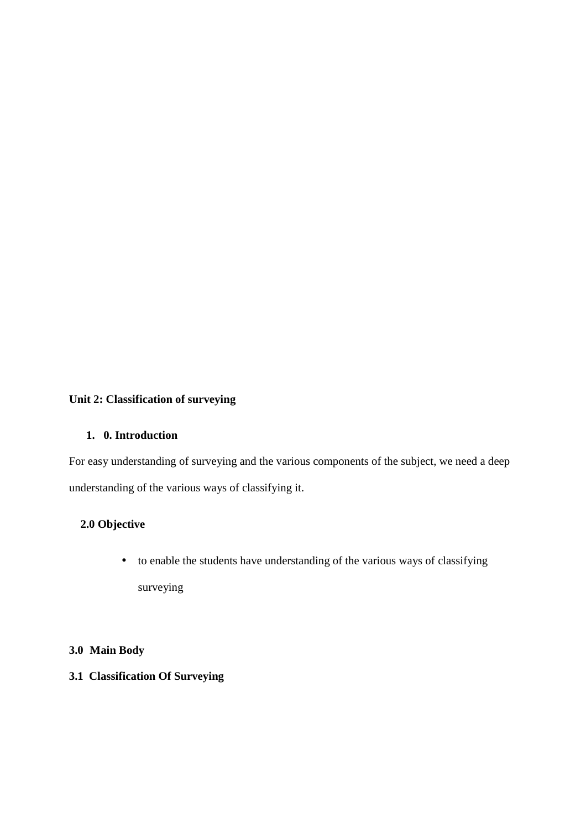# **Unit 2: Classification of surveying**

# **1. 0. Introduction**

For easy understanding of surveying and the various components of the subject, we need a deep understanding of the various ways of classifying it.

# **2.0 Objective**

• to enable the students have understanding of the various ways of classifying surveying

# **3.0 Main Body**

# **3.1 Classification Of Surveying**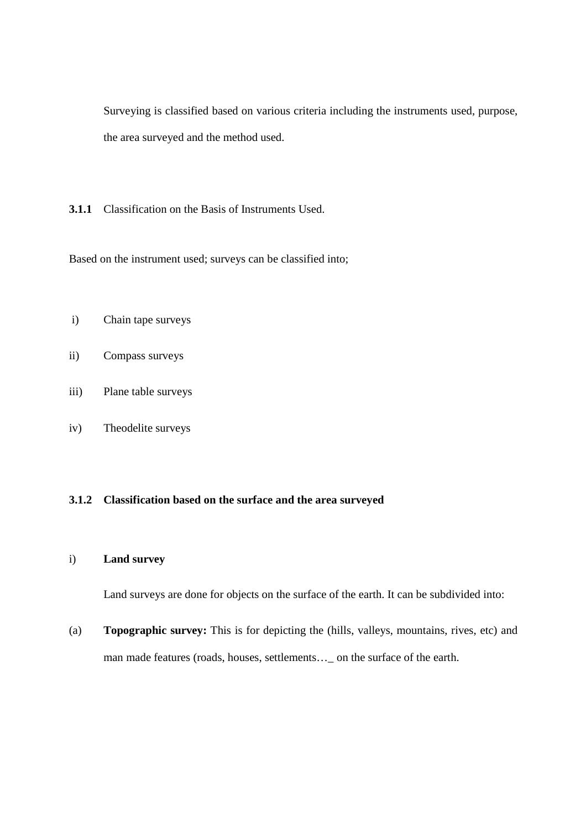Surveying is classified based on various criteria including the instruments used, purpose, the area surveyed and the method used.

**3.1.1** Classification on the Basis of Instruments Used.

Based on the instrument used; surveys can be classified into;

- i) Chain tape surveys
- ii) Compass surveys
- iii) Plane table surveys
- iv) Theodelite surveys

# **3.1.2 Classification based on the surface and the area surveyed**

# i) **Land survey**

Land surveys are done for objects on the surface of the earth. It can be subdivided into:

(a) **Topographic survey:** This is for depicting the (hills, valleys, mountains, rives, etc) and man made features (roads, houses, settlements...\_ on the surface of the earth.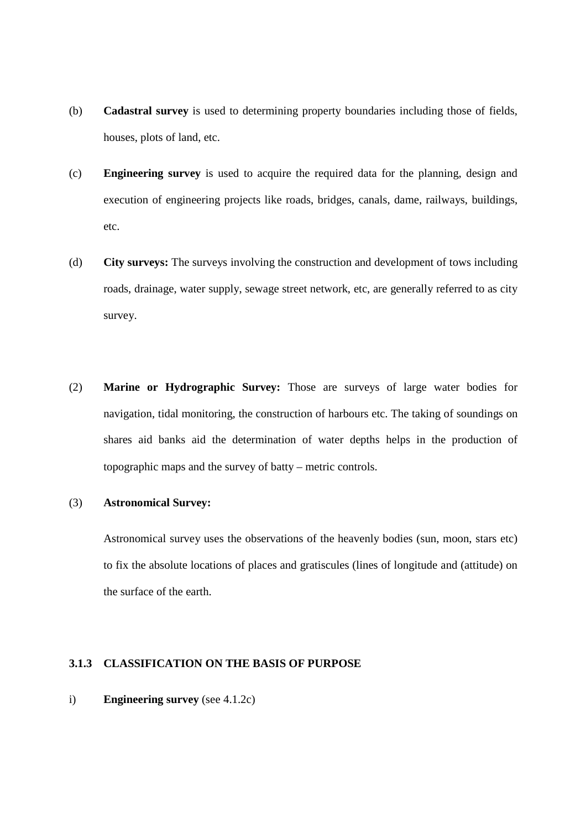- (b) **Cadastral survey** is used to determining property boundaries including those of fields, houses, plots of land, etc.
- (c) **Engineering survey** is used to acquire the required data for the planning, design and execution of engineering projects like roads, bridges, canals, dame, railways, buildings, etc.
- (d) **City surveys:** The surveys involving the construction and development of tows including roads, drainage, water supply, sewage street network, etc, are generally referred to as city survey.
- (2) **Marine or Hydrographic Survey:** Those are surveys of large water bodies for navigation, tidal monitoring, the construction of harbours etc. The taking of soundings on shares aid banks aid the determination of water depths helps in the production of topographic maps and the survey of batty – metric controls.

#### (3) **Astronomical Survey:**

 Astronomical survey uses the observations of the heavenly bodies (sun, moon, stars etc) to fix the absolute locations of places and gratiscules (lines of longitude and (attitude) on the surface of the earth.

# **3.1.3 CLASSIFICATION ON THE BASIS OF PURPOSE**

## i) **Engineering survey** (see 4.1.2c)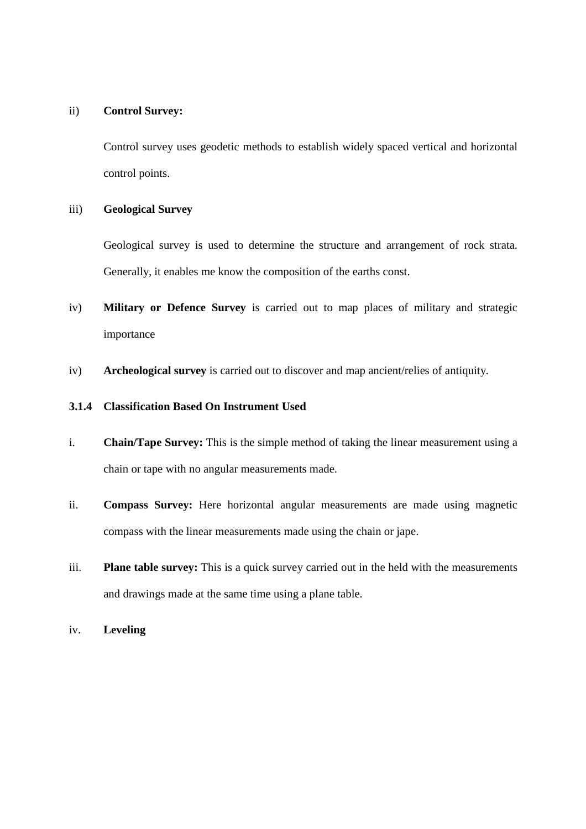#### ii) **Control Survey:**

 Control survey uses geodetic methods to establish widely spaced vertical and horizontal control points.

## iii) **Geological Survey**

Geological survey is used to determine the structure and arrangement of rock strata. Generally, it enables me know the composition of the earths const.

- iv) **Military or Defence Survey** is carried out to map places of military and strategic importance
- iv) **Archeological survey** is carried out to discover and map ancient/relies of antiquity.

# **3.1.4 Classification Based On Instrument Used**

- i. **Chain/Tape Survey:** This is the simple method of taking the linear measurement using a chain or tape with no angular measurements made.
- ii. **Compass Survey:** Here horizontal angular measurements are made using magnetic compass with the linear measurements made using the chain or jape.
- iii. **Plane table survey:** This is a quick survey carried out in the held with the measurements and drawings made at the same time using a plane table.
- iv. **Leveling**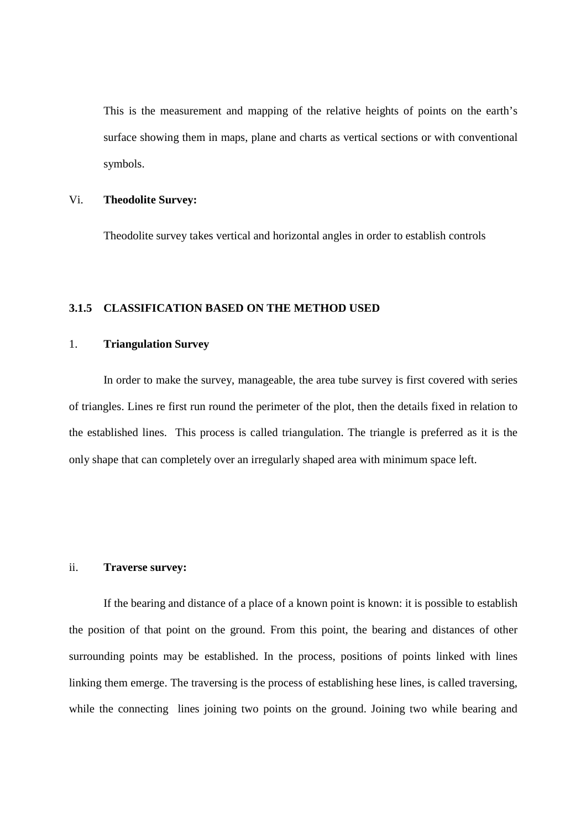This is the measurement and mapping of the relative heights of points on the earth's surface showing them in maps, plane and charts as vertical sections or with conventional symbols.

# Vi. **Theodolite Survey:**

Theodolite survey takes vertical and horizontal angles in order to establish controls

# **3.1.5 CLASSIFICATION BASED ON THE METHOD USED**

# 1. **Triangulation Survey**

 In order to make the survey, manageable, the area tube survey is first covered with series of triangles. Lines re first run round the perimeter of the plot, then the details fixed in relation to the established lines. This process is called triangulation. The triangle is preferred as it is the only shape that can completely over an irregularly shaped area with minimum space left.

#### ii. **Traverse survey:**

If the bearing and distance of a place of a known point is known: it is possible to establish the position of that point on the ground. From this point, the bearing and distances of other surrounding points may be established. In the process, positions of points linked with lines linking them emerge. The traversing is the process of establishing hese lines, is called traversing, while the connecting lines joining two points on the ground. Joining two while bearing and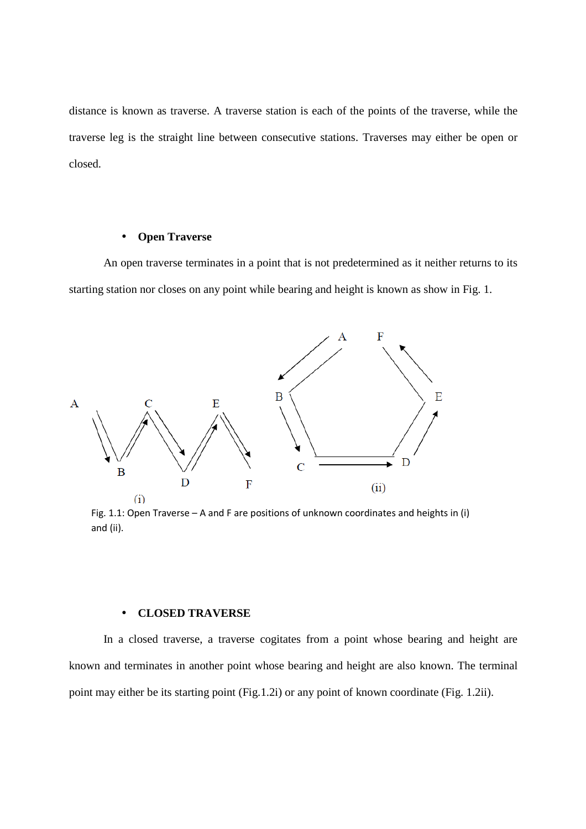distance is known as traverse. A traverse station is each of the points of the traverse, while the traverse leg is the straight line between consecutive stations. Traverses may either be open or closed.

#### • **Open Traverse**

An open traverse terminates in a point that is not predetermined as it neither returns to its starting station nor closes on any point while bearing and height is known as show in Fig. 1.



Fig. 1.1: Open Traverse – A and F are positions of unknown coordinates and heights in (i) and (ii).

## • **CLOSED TRAVERSE**

In a closed traverse, a traverse cogitates from a point whose bearing and height are known and terminates in another point whose bearing and height are also known. The terminal point may either be its starting point (Fig.1.2i) or any point of known coordinate (Fig. 1.2ii).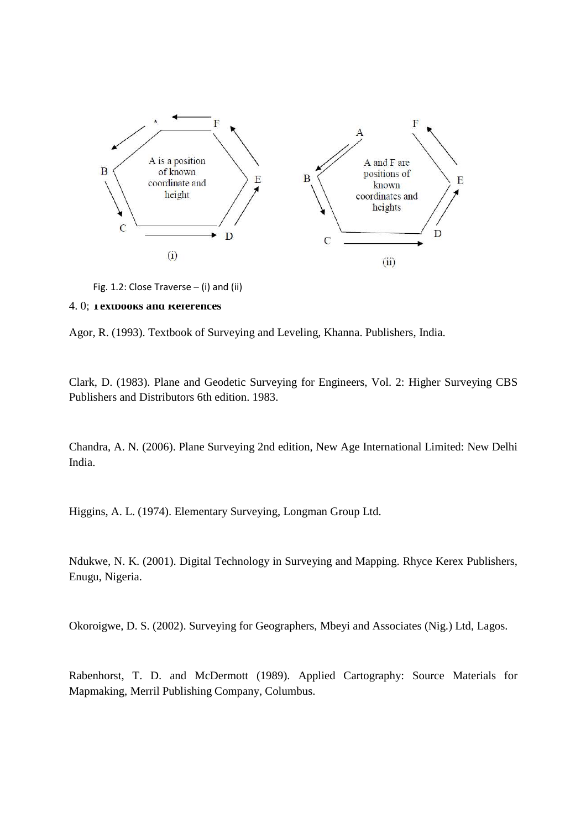

Fig. 1.2: Close Traverse – (i) and (ii)

#### 4. 0; **Textbooks and References**

Agor, R. (1993). Textbook of Surveying and Leveling, Khanna. Publishers, India.

Clark, D. (1983). Plane and Geodetic Surveying for Engineers, Vol. 2: Higher Surveying CBS Publishers and Distributors 6th edition. 1983.

Chandra, A. N. (2006). Plane Surveying 2nd edition, New Age International Limited: New Delhi India.

Higgins, A. L. (1974). Elementary Surveying, Longman Group Ltd.

Ndukwe, N. K. (2001). Digital Technology in Surveying and Mapping. Rhyce Kerex Publishers, Enugu, Nigeria.

Okoroigwe, D. S. (2002). Surveying for Geographers, Mbeyi and Associates (Nig.) Ltd, Lagos.

Rabenhorst, T. D. and McDermott (1989). Applied Cartography: Source Materials for Mapmaking, Merril Publishing Company, Columbus.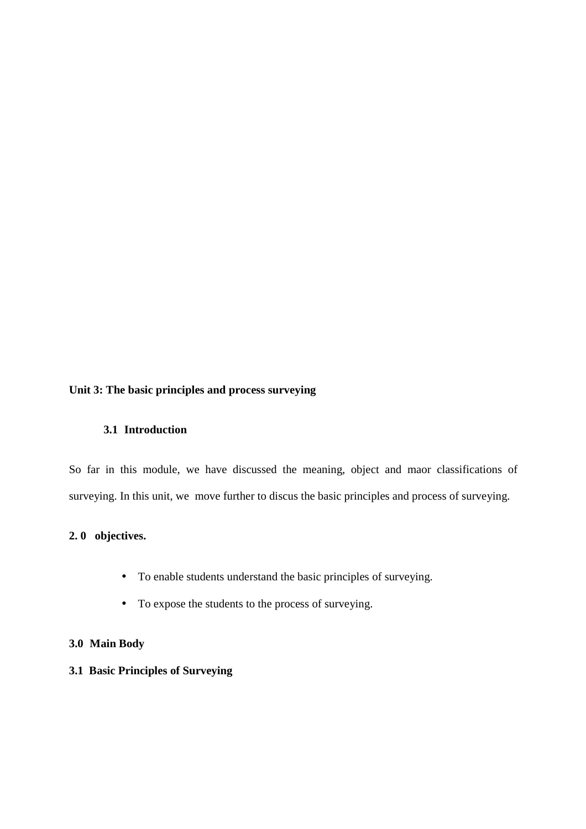# **Unit 3: The basic principles and process surveying**

# **3.1 Introduction**

So far in this module, we have discussed the meaning, object and maor classifications of surveying. In this unit, we move further to discus the basic principles and process of surveying.

# **2. 0 objectives.**

- To enable students understand the basic principles of surveying.
- To expose the students to the process of surveying.

# **3.0 Main Body**

# **3.1 Basic Principles of Surveying**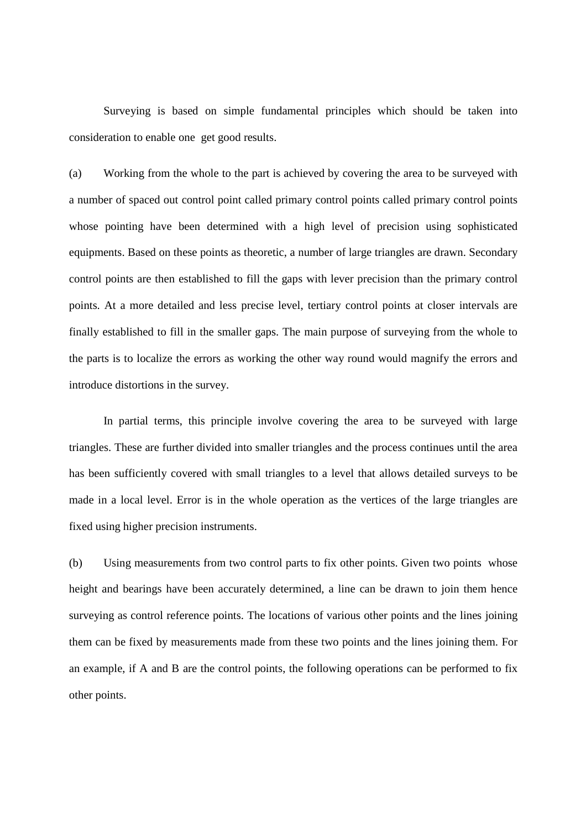Surveying is based on simple fundamental principles which should be taken into consideration to enable one get good results.

(a) Working from the whole to the part is achieved by covering the area to be surveyed with a number of spaced out control point called primary control points called primary control points whose pointing have been determined with a high level of precision using sophisticated equipments. Based on these points as theoretic, a number of large triangles are drawn. Secondary control points are then established to fill the gaps with lever precision than the primary control points. At a more detailed and less precise level, tertiary control points at closer intervals are finally established to fill in the smaller gaps. The main purpose of surveying from the whole to the parts is to localize the errors as working the other way round would magnify the errors and introduce distortions in the survey.

In partial terms, this principle involve covering the area to be surveyed with large triangles. These are further divided into smaller triangles and the process continues until the area has been sufficiently covered with small triangles to a level that allows detailed surveys to be made in a local level. Error is in the whole operation as the vertices of the large triangles are fixed using higher precision instruments.

(b) Using measurements from two control parts to fix other points. Given two points whose height and bearings have been accurately determined, a line can be drawn to join them hence surveying as control reference points. The locations of various other points and the lines joining them can be fixed by measurements made from these two points and the lines joining them. For an example, if A and B are the control points, the following operations can be performed to fix other points.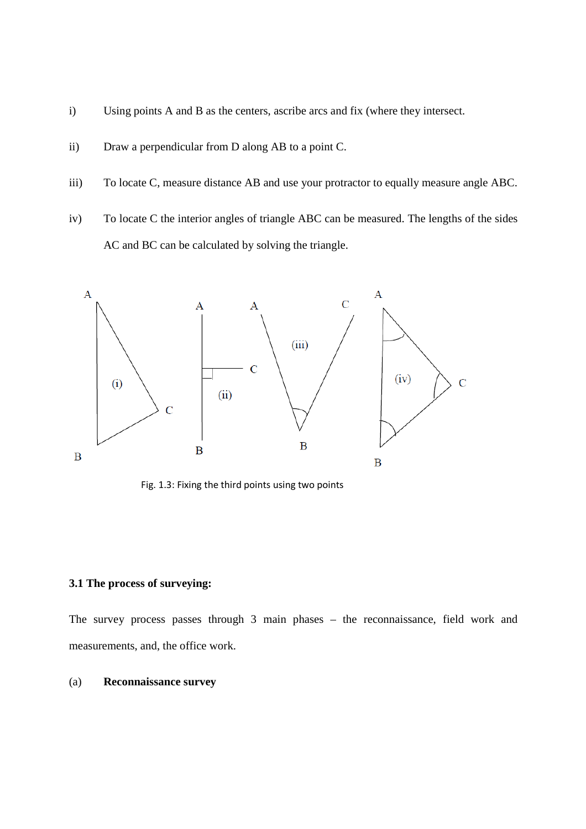- i) Using points A and B as the centers, ascribe arcs and fix (where they intersect.
- ii) Draw a perpendicular from D along AB to a point C.
- iii) To locate C, measure distance AB and use your protractor to equally measure angle ABC.
- iv) To locate C the interior angles of triangle ABC can be measured. The lengths of the sides AC and BC can be calculated by solving the triangle.



Fig. 1.3: Fixing the third points using two points

## **3.1 The process of surveying:**

The survey process passes through 3 main phases – the reconnaissance, field work and measurements, and, the office work.

#### (a) **Reconnaissance survey**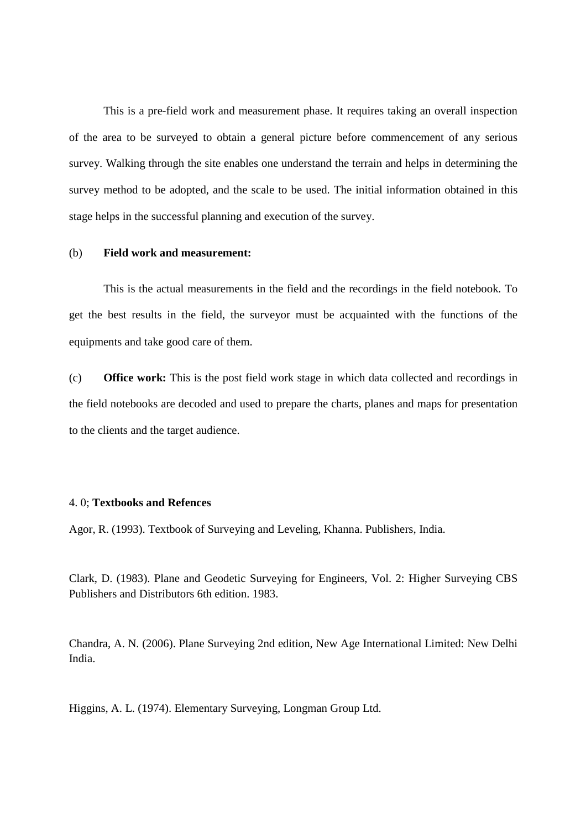This is a pre-field work and measurement phase. It requires taking an overall inspection of the area to be surveyed to obtain a general picture before commencement of any serious survey. Walking through the site enables one understand the terrain and helps in determining the survey method to be adopted, and the scale to be used. The initial information obtained in this stage helps in the successful planning and execution of the survey.

#### (b) **Field work and measurement:**

This is the actual measurements in the field and the recordings in the field notebook. To get the best results in the field, the surveyor must be acquainted with the functions of the equipments and take good care of them.

(c) **Office work:** This is the post field work stage in which data collected and recordings in the field notebooks are decoded and used to prepare the charts, planes and maps for presentation to the clients and the target audience.

#### 4. 0; **Textbooks and Refences**

Agor, R. (1993). Textbook of Surveying and Leveling, Khanna. Publishers, India.

Clark, D. (1983). Plane and Geodetic Surveying for Engineers, Vol. 2: Higher Surveying CBS Publishers and Distributors 6th edition. 1983.

Chandra, A. N. (2006). Plane Surveying 2nd edition, New Age International Limited: New Delhi India.

Higgins, A. L. (1974). Elementary Surveying, Longman Group Ltd.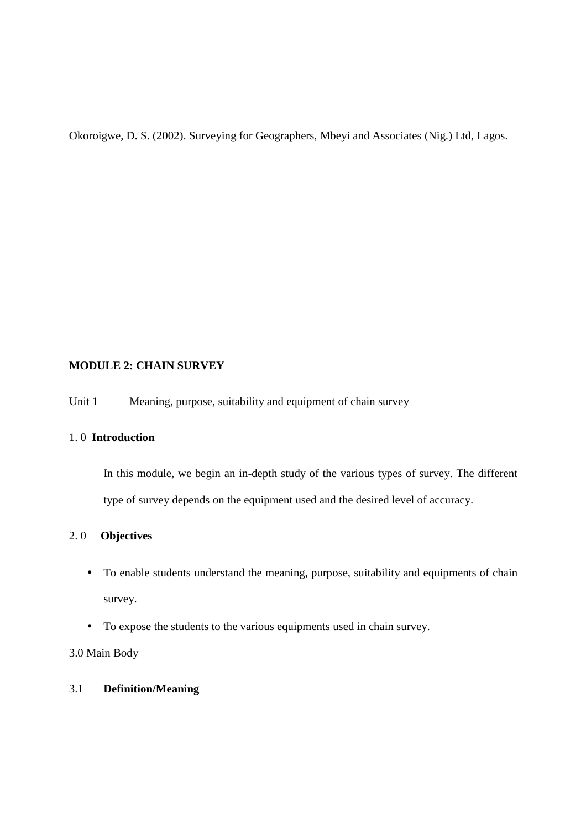Okoroigwe, D. S. (2002). Surveying for Geographers, Mbeyi and Associates (Nig.) Ltd, Lagos.

# **MODULE 2: CHAIN SURVEY**

Unit 1 Meaning, purpose, suitability and equipment of chain survey

# 1. 0 **Introduction**

In this module, we begin an in-depth study of the various types of survey. The different type of survey depends on the equipment used and the desired level of accuracy.

# 2. 0 **Objectives**

- To enable students understand the meaning, purpose, suitability and equipments of chain survey.
- To expose the students to the various equipments used in chain survey.

3.0 Main Body

# 3.1 **Definition/Meaning**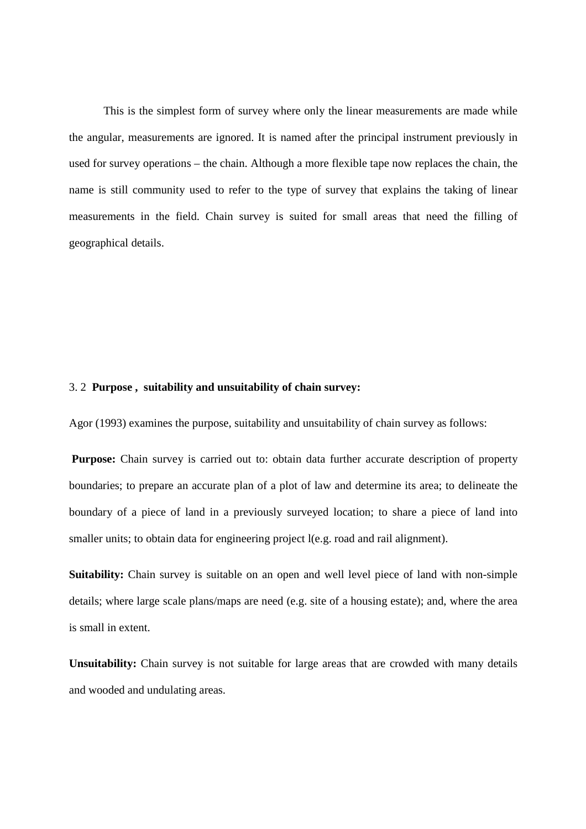This is the simplest form of survey where only the linear measurements are made while the angular, measurements are ignored. It is named after the principal instrument previously in used for survey operations – the chain. Although a more flexible tape now replaces the chain, the name is still community used to refer to the type of survey that explains the taking of linear measurements in the field. Chain survey is suited for small areas that need the filling of geographical details.

#### 3. 2 **Purpose , suitability and unsuitability of chain survey:**

Agor (1993) examines the purpose, suitability and unsuitability of chain survey as follows:

**Purpose:** Chain survey is carried out to: obtain data further accurate description of property boundaries; to prepare an accurate plan of a plot of law and determine its area; to delineate the boundary of a piece of land in a previously surveyed location; to share a piece of land into smaller units; to obtain data for engineering project l(e.g. road and rail alignment).

**Suitability:** Chain survey is suitable on an open and well level piece of land with non-simple details; where large scale plans/maps are need (e.g. site of a housing estate); and, where the area is small in extent.

**Unsuitability:** Chain survey is not suitable for large areas that are crowded with many details and wooded and undulating areas.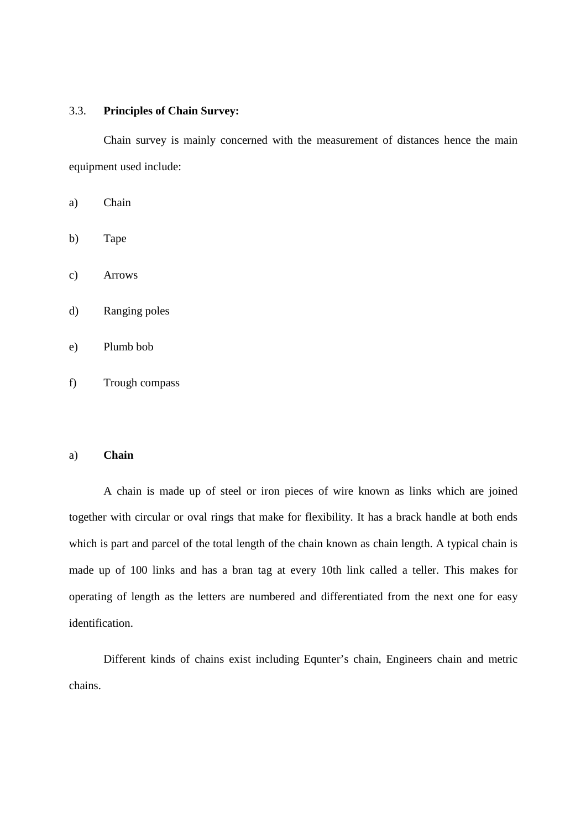## 3.3. **Principles of Chain Survey:**

Chain survey is mainly concerned with the measurement of distances hence the main equipment used include:

- a) Chain
- b) Tape
- c) Arrows
- d) Ranging poles
- e) Plumb bob
- f) Trough compass

#### a) **Chain**

A chain is made up of steel or iron pieces of wire known as links which are joined together with circular or oval rings that make for flexibility. It has a brack handle at both ends which is part and parcel of the total length of the chain known as chain length. A typical chain is made up of 100 links and has a bran tag at every 10th link called a teller. This makes for operating of length as the letters are numbered and differentiated from the next one for easy identification.

 Different kinds of chains exist including Equnter's chain, Engineers chain and metric chains.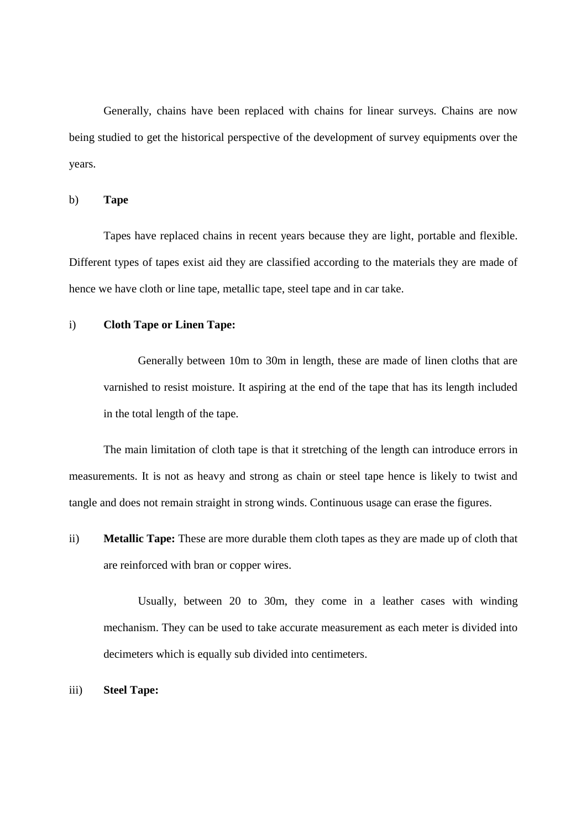Generally, chains have been replaced with chains for linear surveys. Chains are now being studied to get the historical perspective of the development of survey equipments over the years.

b) **Tape** 

 Tapes have replaced chains in recent years because they are light, portable and flexible. Different types of tapes exist aid they are classified according to the materials they are made of hence we have cloth or line tape, metallic tape, steel tape and in car take.

#### i) **Cloth Tape or Linen Tape:**

Generally between 10m to 30m in length, these are made of linen cloths that are varnished to resist moisture. It aspiring at the end of the tape that has its length included in the total length of the tape.

The main limitation of cloth tape is that it stretching of the length can introduce errors in measurements. It is not as heavy and strong as chain or steel tape hence is likely to twist and tangle and does not remain straight in strong winds. Continuous usage can erase the figures.

ii) **Metallic Tape:** These are more durable them cloth tapes as they are made up of cloth that are reinforced with bran or copper wires.

Usually, between 20 to 30m, they come in a leather cases with winding mechanism. They can be used to take accurate measurement as each meter is divided into decimeters which is equally sub divided into centimeters.

iii) **Steel Tape:**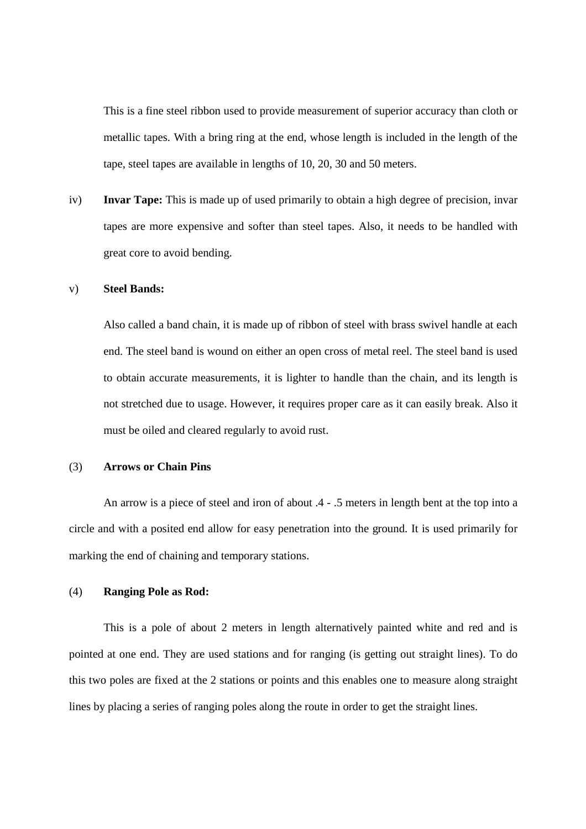This is a fine steel ribbon used to provide measurement of superior accuracy than cloth or metallic tapes. With a bring ring at the end, whose length is included in the length of the tape, steel tapes are available in lengths of 10, 20, 30 and 50 meters.

iv) **Invar Tape:** This is made up of used primarily to obtain a high degree of precision, invar tapes are more expensive and softer than steel tapes. Also, it needs to be handled with great core to avoid bending.

## v) **Steel Bands:**

Also called a band chain, it is made up of ribbon of steel with brass swivel handle at each end. The steel band is wound on either an open cross of metal reel. The steel band is used to obtain accurate measurements, it is lighter to handle than the chain, and its length is not stretched due to usage. However, it requires proper care as it can easily break. Also it must be oiled and cleared regularly to avoid rust.

#### (3) **Arrows or Chain Pins**

 An arrow is a piece of steel and iron of about .4 - .5 meters in length bent at the top into a circle and with a posited end allow for easy penetration into the ground. It is used primarily for marking the end of chaining and temporary stations.

#### (4) **Ranging Pole as Rod:**

 This is a pole of about 2 meters in length alternatively painted white and red and is pointed at one end. They are used stations and for ranging (is getting out straight lines). To do this two poles are fixed at the 2 stations or points and this enables one to measure along straight lines by placing a series of ranging poles along the route in order to get the straight lines.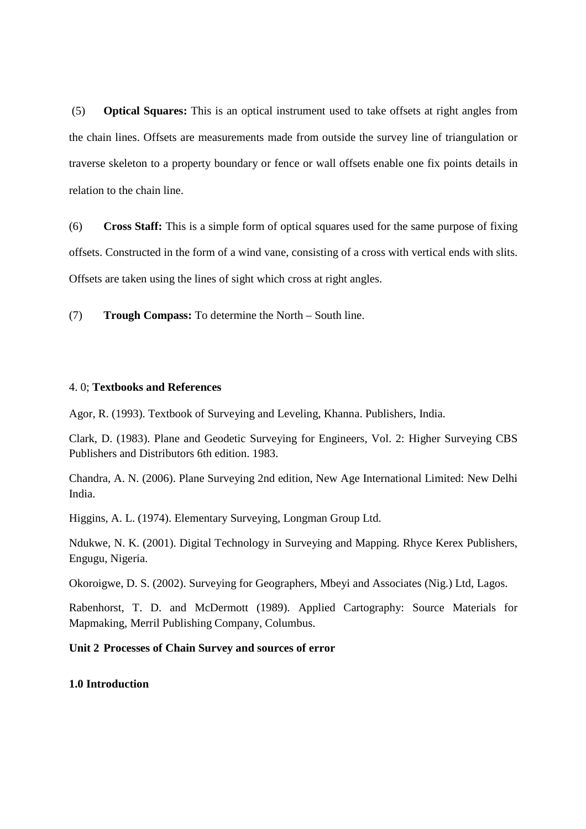(5) **Optical Squares:** This is an optical instrument used to take offsets at right angles from the chain lines. Offsets are measurements made from outside the survey line of triangulation or traverse skeleton to a property boundary or fence or wall offsets enable one fix points details in relation to the chain line.

(6) **Cross Staff:** This is a simple form of optical squares used for the same purpose of fixing offsets. Constructed in the form of a wind vane, consisting of a cross with vertical ends with slits. Offsets are taken using the lines of sight which cross at right angles.

(7) **Trough Compass:** To determine the North – South line.

## 4. 0; **Textbooks and References**

Agor, R. (1993). Textbook of Surveying and Leveling, Khanna. Publishers, India.

Clark, D. (1983). Plane and Geodetic Surveying for Engineers, Vol. 2: Higher Surveying CBS Publishers and Distributors 6th edition. 1983.

Chandra, A. N. (2006). Plane Surveying 2nd edition, New Age International Limited: New Delhi India.

Higgins, A. L. (1974). Elementary Surveying, Longman Group Ltd.

Ndukwe, N. K. (2001). Digital Technology in Surveying and Mapping. Rhyce Kerex Publishers, Engugu, Nigeria.

Okoroigwe, D. S. (2002). Surveying for Geographers, Mbeyi and Associates (Nig.) Ltd, Lagos.

Rabenhorst, T. D. and McDermott (1989). Applied Cartography: Source Materials for Mapmaking, Merril Publishing Company, Columbus.

# **Unit 2 Processes of Chain Survey and sources of error**

**1.0 Introduction**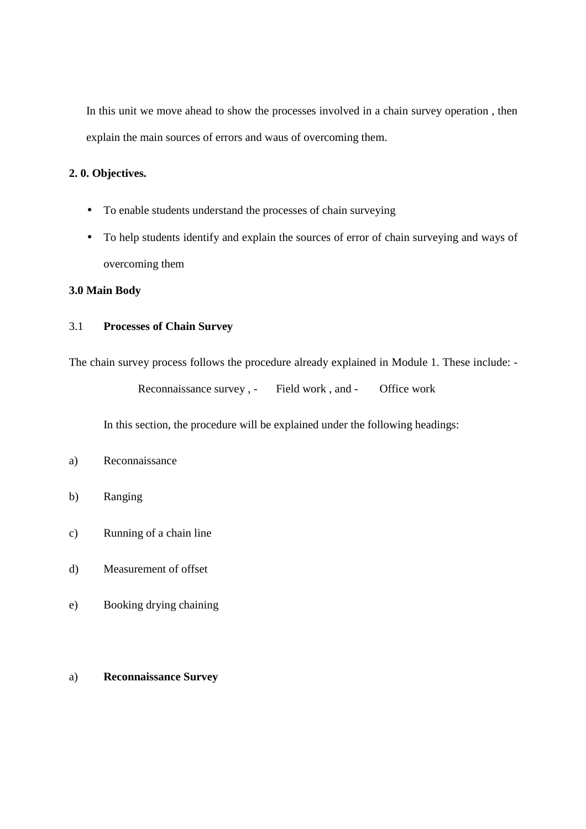In this unit we move ahead to show the processes involved in a chain survey operation , then explain the main sources of errors and waus of overcoming them.

# **2. 0. Objectives.**

- To enable students understand the processes of chain surveying
- To help students identify and explain the sources of error of chain surveying and ways of overcoming them

# **3.0 Main Body**

# 3.1 **Processes of Chain Survey**

The chain survey process follows the procedure already explained in Module 1. These include: -

Reconnaissance survey, - Field work, and - Office work

In this section, the procedure will be explained under the following headings:

# a) Reconnaissance

- b) Ranging
- c) Running of a chain line
- d) Measurement of offset
- e) Booking drying chaining

# a) **Reconnaissance Survey**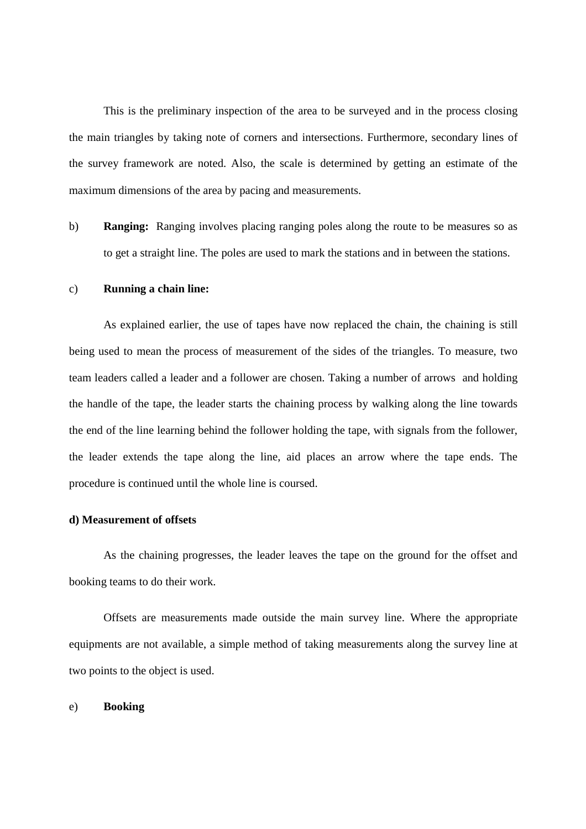This is the preliminary inspection of the area to be surveyed and in the process closing the main triangles by taking note of corners and intersections. Furthermore, secondary lines of the survey framework are noted. Also, the scale is determined by getting an estimate of the maximum dimensions of the area by pacing and measurements.

b) **Ranging:** Ranging involves placing ranging poles along the route to be measures so as to get a straight line. The poles are used to mark the stations and in between the stations.

#### c) **Running a chain line:**

 As explained earlier, the use of tapes have now replaced the chain, the chaining is still being used to mean the process of measurement of the sides of the triangles. To measure, two team leaders called a leader and a follower are chosen. Taking a number of arrows and holding the handle of the tape, the leader starts the chaining process by walking along the line towards the end of the line learning behind the follower holding the tape, with signals from the follower, the leader extends the tape along the line, aid places an arrow where the tape ends. The procedure is continued until the whole line is coursed.

#### **d) Measurement of offsets**

As the chaining progresses, the leader leaves the tape on the ground for the offset and booking teams to do their work.

 Offsets are measurements made outside the main survey line. Where the appropriate equipments are not available, a simple method of taking measurements along the survey line at two points to the object is used.

#### e) **Booking**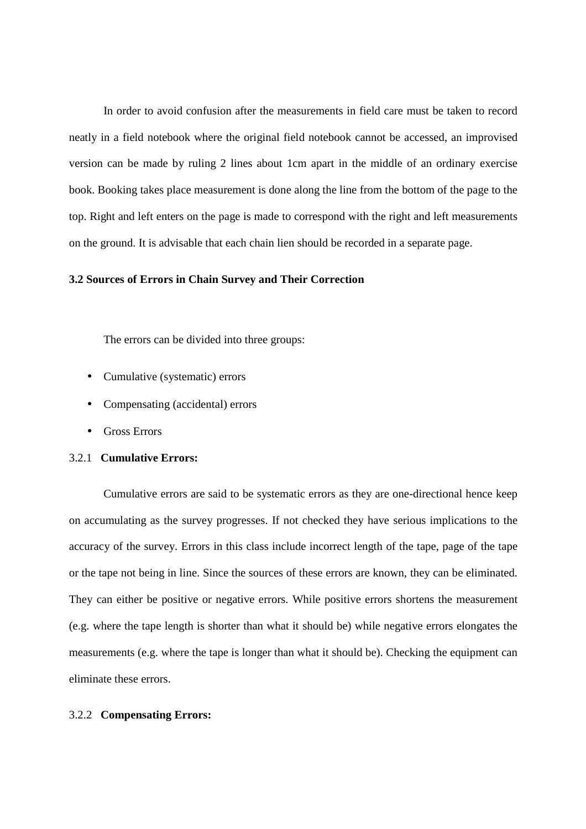In order to avoid confusion after the measurements in field care must be taken to record neatly in a field notebook where the original field notebook cannot be accessed, an improvised version can be made by ruling 2 lines about 1cm apart in the middle of an ordinary exercise book. Booking takes place measurement is done along the line from the bottom of the page to the top. Right and left enters on the page is made to correspond with the right and left measurements on the ground. It is advisable that each chain lien should be recorded in a separate page.

#### **3.2 Sources of Errors in Chain Survey and Their Correction**

The errors can be divided into three groups:

- Cumulative (systematic) errors
- Compensating (accidental) errors
- Gross Errors

## 3.2.1 **Cumulative Errors:**

Cumulative errors are said to be systematic errors as they are one-directional hence keep on accumulating as the survey progresses. If not checked they have serious implications to the accuracy of the survey. Errors in this class include incorrect length of the tape, page of the tape or the tape not being in line. Since the sources of these errors are known, they can be eliminated. They can either be positive or negative errors. While positive errors shortens the measurement (e.g. where the tape length is shorter than what it should be) while negative errors elongates the measurements (e.g. where the tape is longer than what it should be). Checking the equipment can eliminate these errors.

#### 3.2.2 **Compensating Errors:**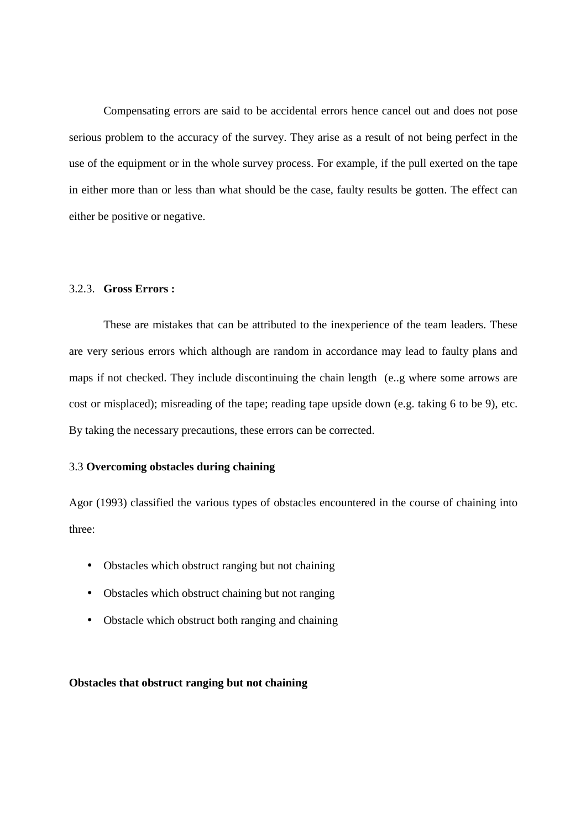Compensating errors are said to be accidental errors hence cancel out and does not pose serious problem to the accuracy of the survey. They arise as a result of not being perfect in the use of the equipment or in the whole survey process. For example, if the pull exerted on the tape in either more than or less than what should be the case, faulty results be gotten. The effect can either be positive or negative.

# 3.2.3. **Gross Errors :**

 These are mistakes that can be attributed to the inexperience of the team leaders. These are very serious errors which although are random in accordance may lead to faulty plans and maps if not checked. They include discontinuing the chain length (e..g where some arrows are cost or misplaced); misreading of the tape; reading tape upside down (e.g. taking 6 to be 9), etc. By taking the necessary precautions, these errors can be corrected.

#### 3.3 **Overcoming obstacles during chaining**

Agor (1993) classified the various types of obstacles encountered in the course of chaining into three:

- Obstacles which obstruct ranging but not chaining
- Obstacles which obstruct chaining but not ranging
- Obstacle which obstruct both ranging and chaining

**Obstacles that obstruct ranging but not chaining**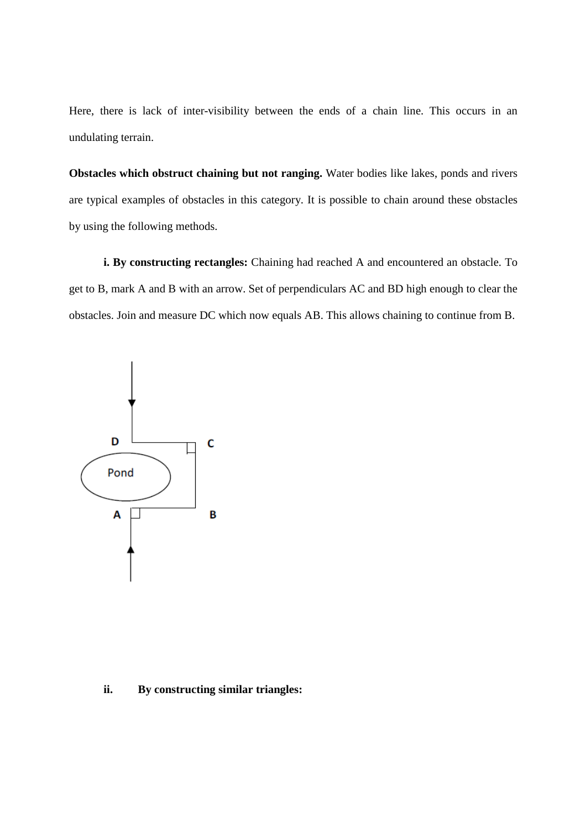Here, there is lack of inter-visibility between the ends of a chain line. This occurs in an undulating terrain.

**Obstacles which obstruct chaining but not ranging.** Water bodies like lakes, ponds and rivers are typical examples of obstacles in this category. It is possible to chain around these obstacles by using the following methods.

 **i. By constructing rectangles:** Chaining had reached A and encountered an obstacle. To get to B, mark A and B with an arrow. Set of perpendiculars AC and BD high enough to clear the obstacles. Join and measure DC which now equals AB. This allows chaining to continue from B.



## **ii. By constructing similar triangles:**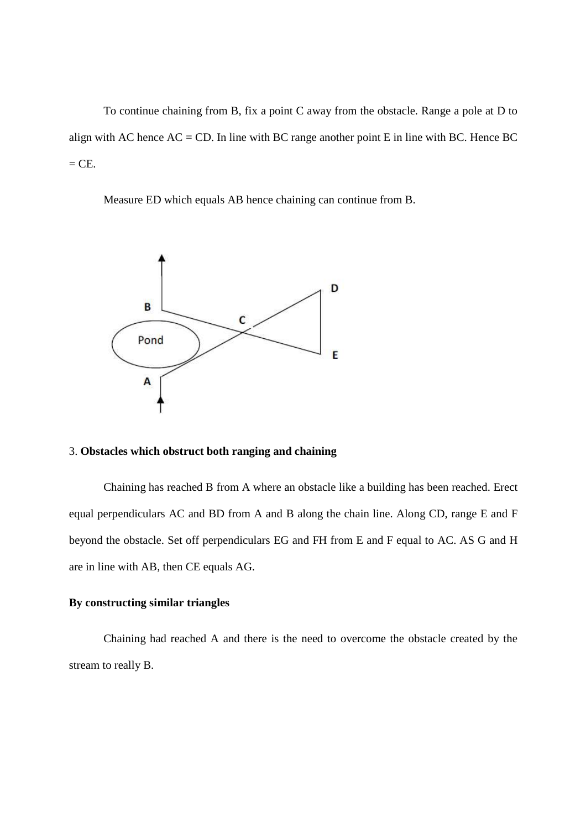To continue chaining from B, fix a point C away from the obstacle. Range a pole at D to align with AC hence  $AC = CD$ . In line with BC range another point E in line with BC. Hence BC  $=$  CE.

Measure ED which equals AB hence chaining can continue from B.



## 3. **Obstacles which obstruct both ranging and chaining**

Chaining has reached B from A where an obstacle like a building has been reached. Erect equal perpendiculars AC and BD from A and B along the chain line. Along CD, range E and F beyond the obstacle. Set off perpendiculars EG and FH from E and F equal to AC. AS G and H are in line with AB, then CE equals AG.

# **By constructing similar triangles**

Chaining had reached A and there is the need to overcome the obstacle created by the stream to really B.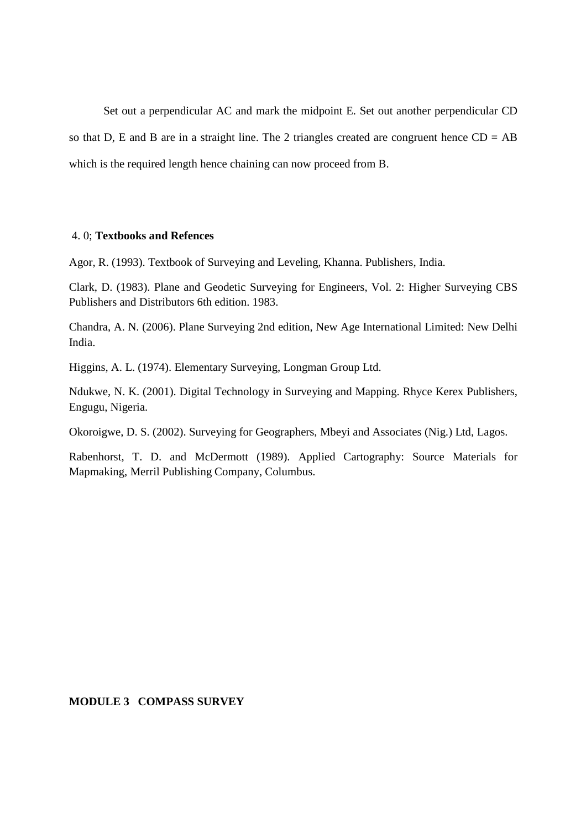Set out a perpendicular AC and mark the midpoint E. Set out another perpendicular CD so that D, E and B are in a straight line. The 2 triangles created are congruent hence  $CD = AB$ which is the required length hence chaining can now proceed from B.

#### 4. 0; **Textbooks and Refences**

Agor, R. (1993). Textbook of Surveying and Leveling, Khanna. Publishers, India.

Clark, D. (1983). Plane and Geodetic Surveying for Engineers, Vol. 2: Higher Surveying CBS Publishers and Distributors 6th edition. 1983.

Chandra, A. N. (2006). Plane Surveying 2nd edition, New Age International Limited: New Delhi India.

Higgins, A. L. (1974). Elementary Surveying, Longman Group Ltd.

Ndukwe, N. K. (2001). Digital Technology in Surveying and Mapping. Rhyce Kerex Publishers, Engugu, Nigeria.

Okoroigwe, D. S. (2002). Surveying for Geographers, Mbeyi and Associates (Nig.) Ltd, Lagos.

Rabenhorst, T. D. and McDermott (1989). Applied Cartography: Source Materials for Mapmaking, Merril Publishing Company, Columbus.

#### **MODULE 3 COMPASS SURVEY**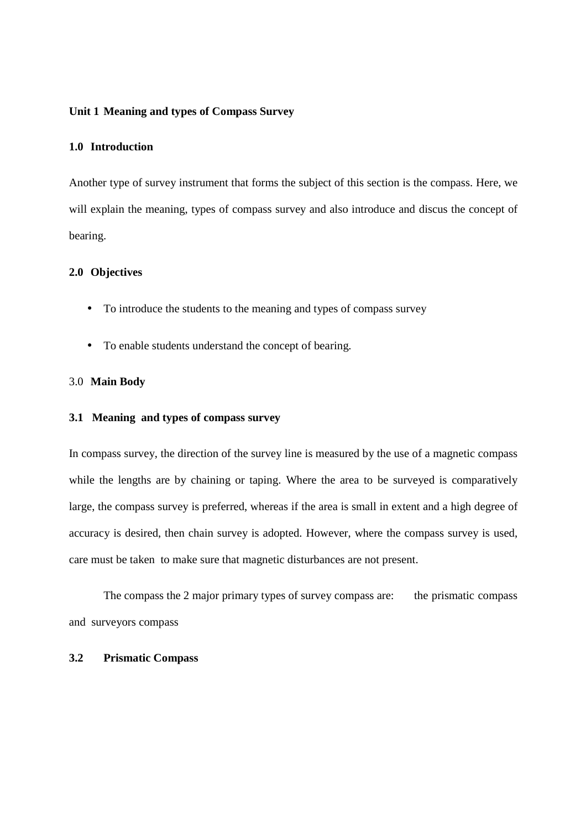#### **Unit 1 Meaning and types of Compass Survey**

# **1.0 Introduction**

Another type of survey instrument that forms the subject of this section is the compass. Here, we will explain the meaning, types of compass survey and also introduce and discus the concept of bearing.

#### **2.0 Objectives**

- To introduce the students to the meaning and types of compass survey
- To enable students understand the concept of bearing.

#### 3.0 **Main Body**

#### **3.1 Meaning and types of compass survey**

In compass survey, the direction of the survey line is measured by the use of a magnetic compass while the lengths are by chaining or taping. Where the area to be surveyed is comparatively large, the compass survey is preferred, whereas if the area is small in extent and a high degree of accuracy is desired, then chain survey is adopted. However, where the compass survey is used, care must be taken to make sure that magnetic disturbances are not present.

The compass the 2 major primary types of survey compass are: the prismatic compass and surveyors compass

## **3.2 Prismatic Compass**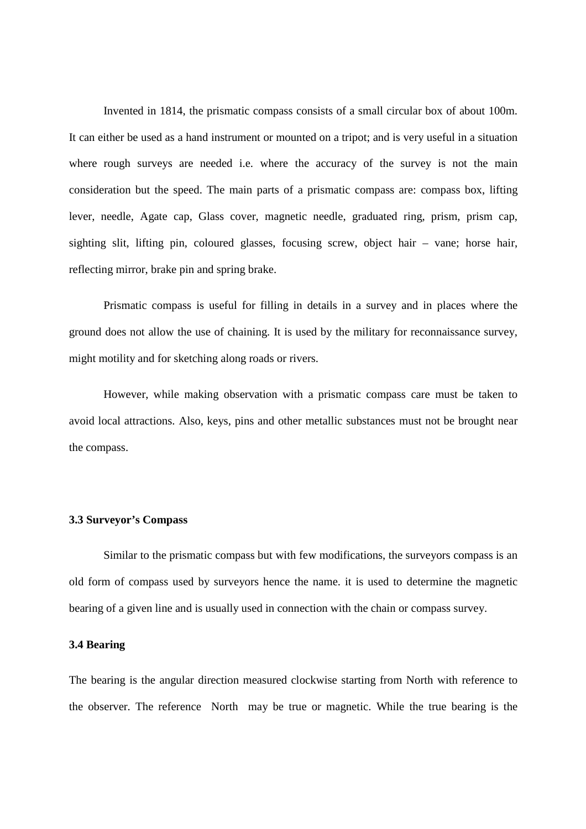Invented in 1814, the prismatic compass consists of a small circular box of about 100m. It can either be used as a hand instrument or mounted on a tripot; and is very useful in a situation where rough surveys are needed i.e. where the accuracy of the survey is not the main consideration but the speed. The main parts of a prismatic compass are: compass box, lifting lever, needle, Agate cap, Glass cover, magnetic needle, graduated ring, prism, prism cap, sighting slit, lifting pin, coloured glasses, focusing screw, object hair – vane; horse hair, reflecting mirror, brake pin and spring brake.

 Prismatic compass is useful for filling in details in a survey and in places where the ground does not allow the use of chaining. It is used by the military for reconnaissance survey, might motility and for sketching along roads or rivers.

 However, while making observation with a prismatic compass care must be taken to avoid local attractions. Also, keys, pins and other metallic substances must not be brought near the compass.

#### **3.3 Surveyor's Compass**

Similar to the prismatic compass but with few modifications, the surveyors compass is an old form of compass used by surveyors hence the name. it is used to determine the magnetic bearing of a given line and is usually used in connection with the chain or compass survey.

# **3.4 Bearing**

The bearing is the angular direction measured clockwise starting from North with reference to the observer. The reference North may be true or magnetic. While the true bearing is the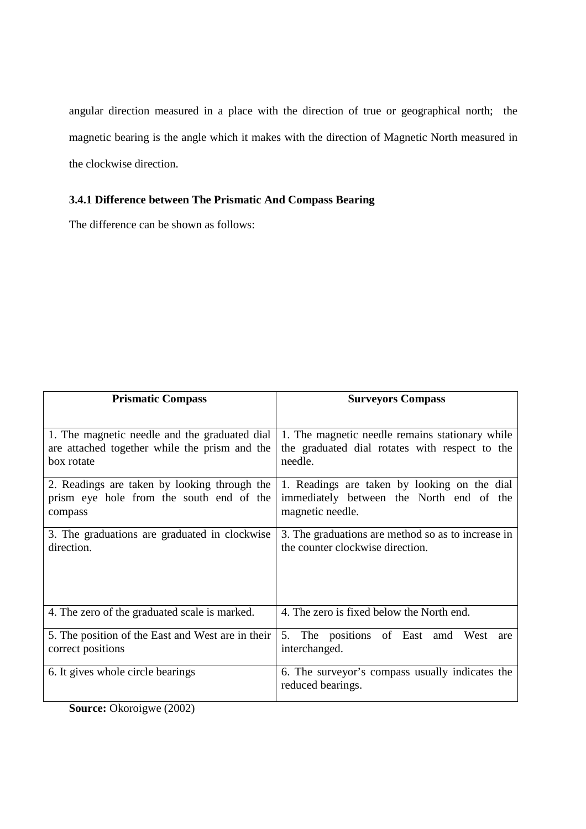angular direction measured in a place with the direction of true or geographical north; the magnetic bearing is the angle which it makes with the direction of Magnetic North measured in the clockwise direction.

# **3.4.1 Difference between The Prismatic And Compass Bearing**

The difference can be shown as follows:

| <b>Surveyors Compass</b>                                     |  |  |
|--------------------------------------------------------------|--|--|
|                                                              |  |  |
| 1. The magnetic needle remains stationary while              |  |  |
| the graduated dial rotates with respect to the<br>needle.    |  |  |
|                                                              |  |  |
| 1. Readings are taken by looking on the dial                 |  |  |
| immediately between the North end of the<br>magnetic needle. |  |  |
|                                                              |  |  |
| 3. The graduations are method so as to increase in           |  |  |
| the counter clockwise direction.                             |  |  |
|                                                              |  |  |
|                                                              |  |  |
|                                                              |  |  |
| 4. The zero is fixed below the North end.                    |  |  |
| The positions of East amd<br>5.<br>West<br>are               |  |  |
| interchanged.                                                |  |  |
| 6. The surveyor's compass usually indicates the              |  |  |
| reduced bearings.                                            |  |  |
| 5. The position of the East and West are in their            |  |  |

**Source:** Okoroigwe (2002)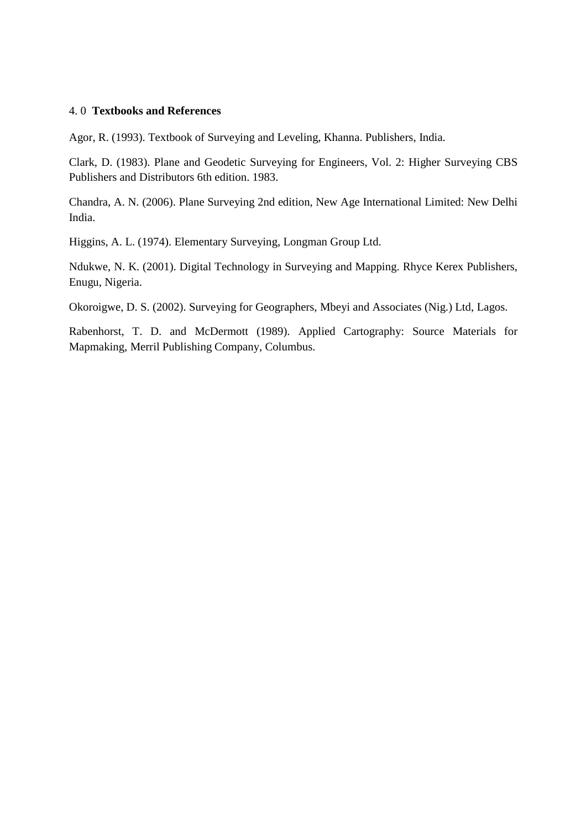#### 4. 0 **Textbooks and References**

Agor, R. (1993). Textbook of Surveying and Leveling, Khanna. Publishers, India.

Clark, D. (1983). Plane and Geodetic Surveying for Engineers, Vol. 2: Higher Surveying CBS Publishers and Distributors 6th edition. 1983.

Chandra, A. N. (2006). Plane Surveying 2nd edition, New Age International Limited: New Delhi India.

Higgins, A. L. (1974). Elementary Surveying, Longman Group Ltd.

Ndukwe, N. K. (2001). Digital Technology in Surveying and Mapping. Rhyce Kerex Publishers, Enugu, Nigeria.

Okoroigwe, D. S. (2002). Surveying for Geographers, Mbeyi and Associates (Nig.) Ltd, Lagos.

Rabenhorst, T. D. and McDermott (1989). Applied Cartography: Source Materials for Mapmaking, Merril Publishing Company, Columbus.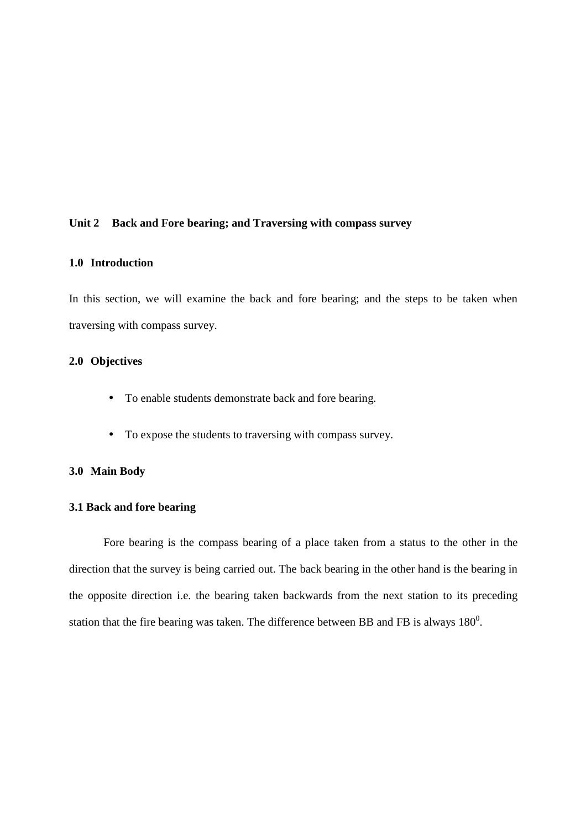## **Unit 2 Back and Fore bearing; and Traversing with compass survey**

#### **1.0 Introduction**

In this section, we will examine the back and fore bearing; and the steps to be taken when traversing with compass survey.

# **2.0 Objectives**

- To enable students demonstrate back and fore bearing.
- To expose the students to traversing with compass survey.

## **3.0 Main Body**

# **3.1 Back and fore bearing**

 Fore bearing is the compass bearing of a place taken from a status to the other in the direction that the survey is being carried out. The back bearing in the other hand is the bearing in the opposite direction i.e. the bearing taken backwards from the next station to its preceding station that the fire bearing was taken. The difference between BB and FB is always  $180^0$ .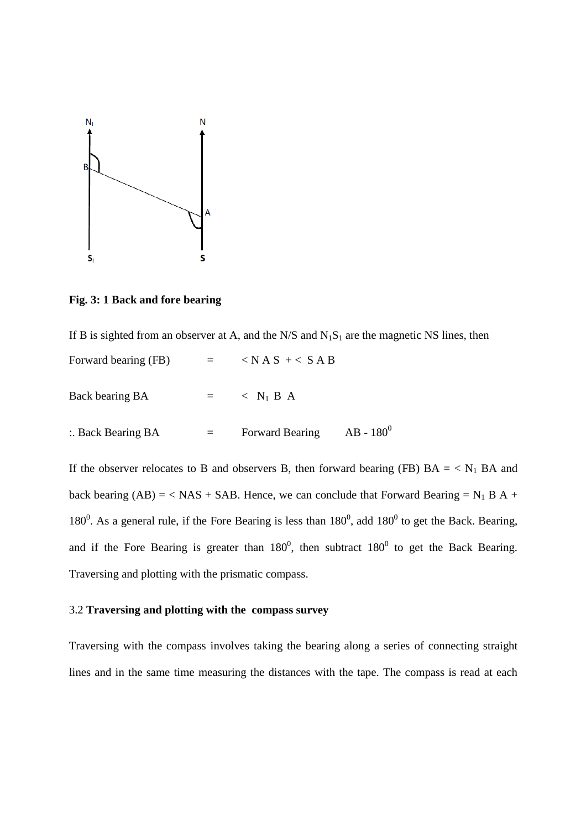

**Fig. 3: 1 Back and fore bearing** 

|                              |             | If B is sighted from an observer at A, and the $N/S$ and $N_1S_1$ are the magnetic NS lines, then |
|------------------------------|-------------|---------------------------------------------------------------------------------------------------|
| Forward bearing (FB)         |             | $=$ $\langle NAS + \langle SAB \rangle$                                                           |
| Back bearing BA              | and the set | $\langle N_1 B A \rangle$                                                                         |
| $\therefore$ Back Bearing BA | $=$ $-$     | $AB - 180^0$<br><b>Forward Bearing</b>                                                            |

If the observer relocates to B and observers B, then forward bearing (FB)  $BA = \langle N_1 BA \rangle$  and back bearing  $(AB) = \langle NAS + SAB$ . Hence, we can conclude that Forward Bearing = N<sub>1</sub> B A + 180<sup>0</sup>. As a general rule, if the Fore Bearing is less than  $180^0$ , add  $180^0$  to get the Back. Bearing, and if the Fore Bearing is greater than  $180^0$ , then subtract  $180^0$  to get the Back Bearing. Traversing and plotting with the prismatic compass.

# 3.2 **Traversing and plotting with the compass survey**

Traversing with the compass involves taking the bearing along a series of connecting straight lines and in the same time measuring the distances with the tape. The compass is read at each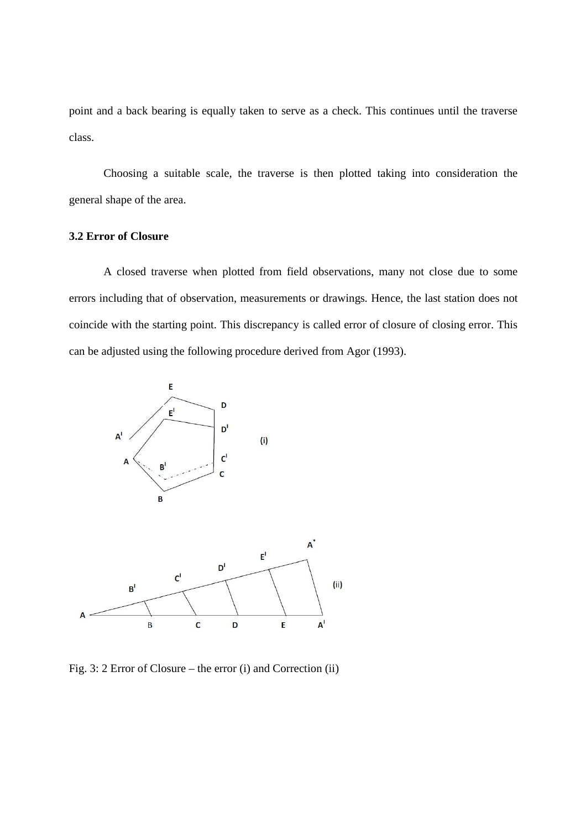point and a back bearing is equally taken to serve as a check. This continues until the traverse class.

 Choosing a suitable scale, the traverse is then plotted taking into consideration the general shape of the area.

#### **3.2 Error of Closure**

A closed traverse when plotted from field observations, many not close due to some errors including that of observation, measurements or drawings. Hence, the last station does not coincide with the starting point. This discrepancy is called error of closure of closing error. This can be adjusted using the following procedure derived from Agor (1993).



Fig. 3: 2 Error of Closure – the error (i) and Correction (ii)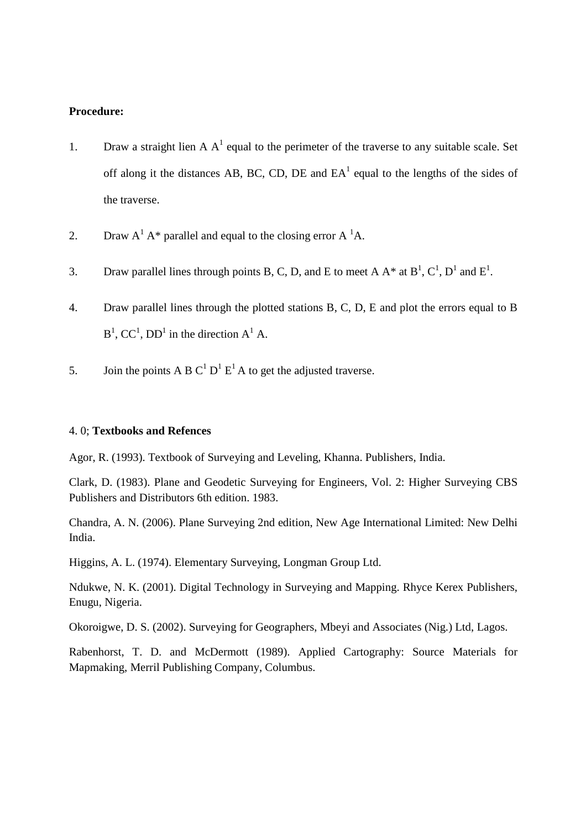# **Procedure:**

- 1. Draw a straight lien A  $A<sup>1</sup>$  equal to the perimeter of the traverse to any suitable scale. Set off along it the distances AB, BC, CD, DE and  $EA<sup>1</sup>$  equal to the lengths of the sides of the traverse.
- 2. Draw  $A^1 A^*$  parallel and equal to the closing error  $A^1 A$ .
- 3. Draw parallel lines through points B, C, D, and E to meet A  $A^*$  at  $B^1$ ,  $C^1$ ,  $D^1$  and  $E^1$ .
- 4. Draw parallel lines through the plotted stations B, C, D, E and plot the errors equal to B  $B^1$ , CC<sup>1</sup>, DD<sup>1</sup> in the direction A<sup>1</sup> A.
- 5. Join the points A B C<sup>1</sup> D<sup>1</sup> E<sup>1</sup> A to get the adjusted traverse.

#### 4. 0; **Textbooks and Refences**

Agor, R. (1993). Textbook of Surveying and Leveling, Khanna. Publishers, India.

Clark, D. (1983). Plane and Geodetic Surveying for Engineers, Vol. 2: Higher Surveying CBS Publishers and Distributors 6th edition. 1983.

Chandra, A. N. (2006). Plane Surveying 2nd edition, New Age International Limited: New Delhi India.

Higgins, A. L. (1974). Elementary Surveying, Longman Group Ltd.

Ndukwe, N. K. (2001). Digital Technology in Surveying and Mapping. Rhyce Kerex Publishers, Enugu, Nigeria.

Okoroigwe, D. S. (2002). Surveying for Geographers, Mbeyi and Associates (Nig.) Ltd, Lagos.

Rabenhorst, T. D. and McDermott (1989). Applied Cartography: Source Materials for Mapmaking, Merril Publishing Company, Columbus.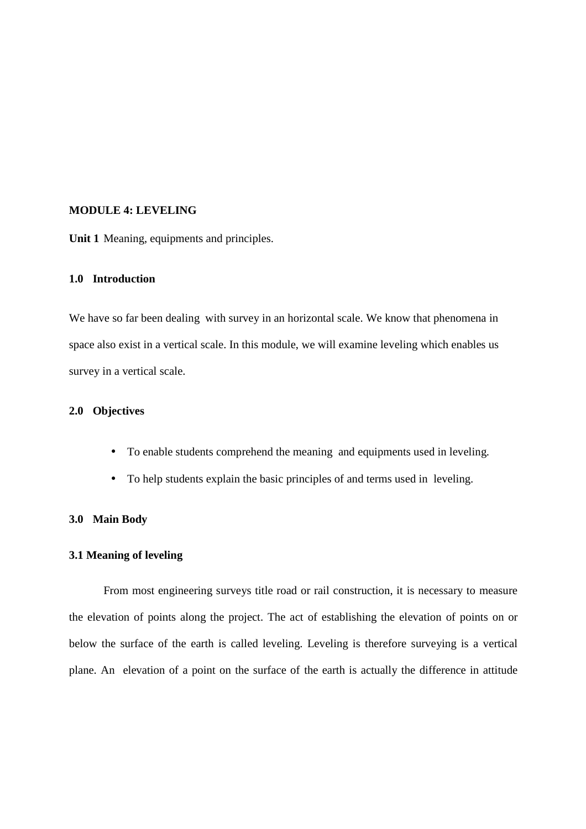## **MODULE 4: LEVELING**

**Unit 1** Meaning, equipments and principles.

# **1.0 Introduction**

We have so far been dealing with survey in an horizontal scale. We know that phenomena in space also exist in a vertical scale. In this module, we will examine leveling which enables us survey in a vertical scale.

# **2.0 Objectives**

- To enable students comprehend the meaning and equipments used in leveling.
- To help students explain the basic principles of and terms used in leveling.

## **3.0 Main Body**

#### **3.1 Meaning of leveling**

From most engineering surveys title road or rail construction, it is necessary to measure the elevation of points along the project. The act of establishing the elevation of points on or below the surface of the earth is called leveling. Leveling is therefore surveying is a vertical plane. An elevation of a point on the surface of the earth is actually the difference in attitude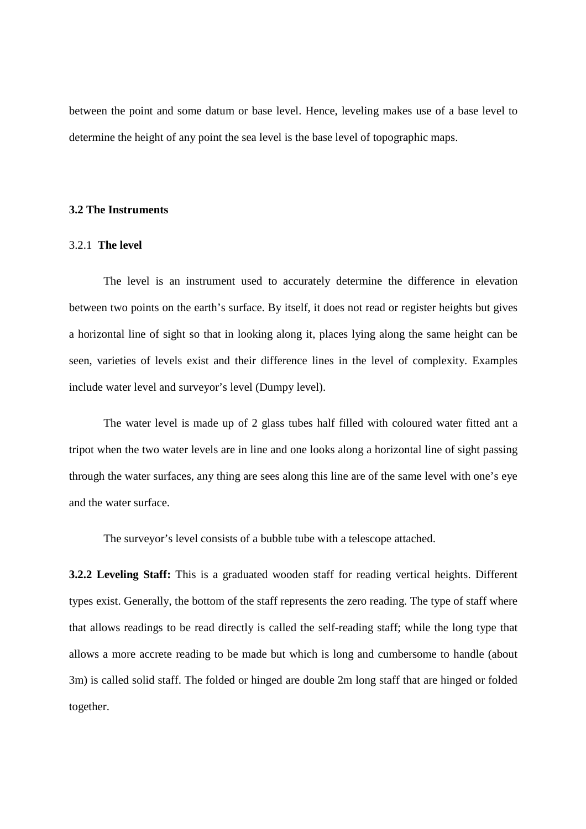between the point and some datum or base level. Hence, leveling makes use of a base level to determine the height of any point the sea level is the base level of topographic maps.

#### **3.2 The Instruments**

#### 3.2.1 **The level**

 The level is an instrument used to accurately determine the difference in elevation between two points on the earth's surface. By itself, it does not read or register heights but gives a horizontal line of sight so that in looking along it, places lying along the same height can be seen, varieties of levels exist and their difference lines in the level of complexity. Examples include water level and surveyor's level (Dumpy level).

The water level is made up of 2 glass tubes half filled with coloured water fitted ant a tripot when the two water levels are in line and one looks along a horizontal line of sight passing through the water surfaces, any thing are sees along this line are of the same level with one's eye and the water surface.

The surveyor's level consists of a bubble tube with a telescope attached.

**3.2.2 Leveling Staff:** This is a graduated wooden staff for reading vertical heights. Different types exist. Generally, the bottom of the staff represents the zero reading. The type of staff where that allows readings to be read directly is called the self-reading staff; while the long type that allows a more accrete reading to be made but which is long and cumbersome to handle (about 3m) is called solid staff. The folded or hinged are double 2m long staff that are hinged or folded together.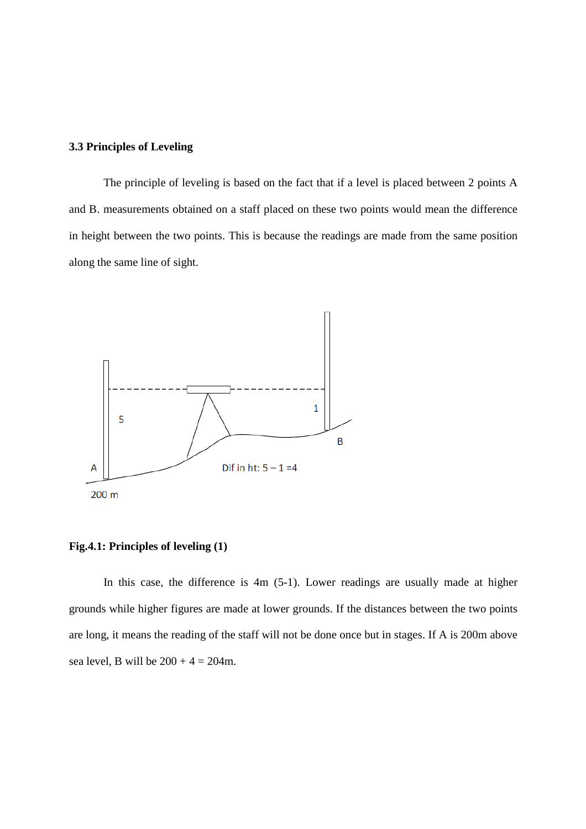## **3.3 Principles of Leveling**

 The principle of leveling is based on the fact that if a level is placed between 2 points A and B. measurements obtained on a staff placed on these two points would mean the difference in height between the two points. This is because the readings are made from the same position along the same line of sight.



#### **Fig.4.1: Principles of leveling (1)**

In this case, the difference is 4m (5-1). Lower readings are usually made at higher grounds while higher figures are made at lower grounds. If the distances between the two points are long, it means the reading of the staff will not be done once but in stages. If A is 200m above sea level, B will be  $200 + 4 = 204$ m.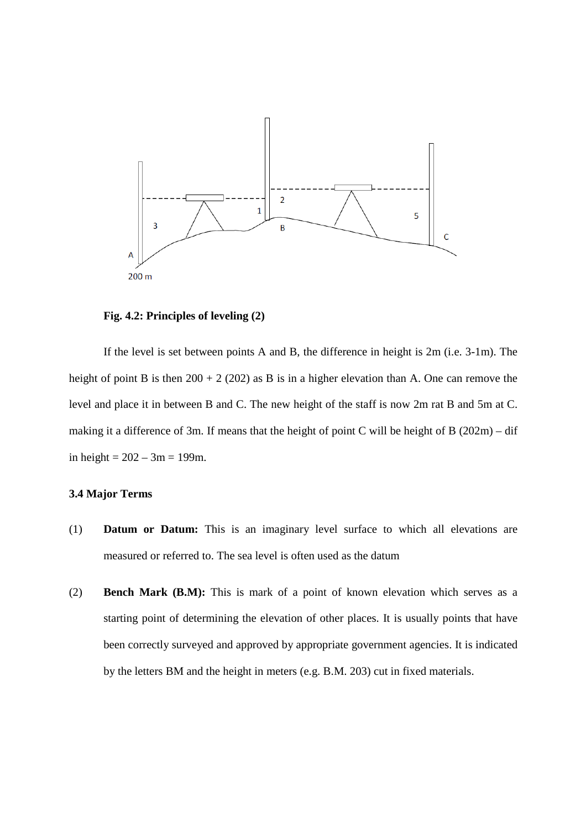

**Fig. 4.2: Principles of leveling (2)** 

If the level is set between points A and B, the difference in height is 2m (i.e. 3-1m). The height of point B is then  $200 + 2(202)$  as B is in a higher elevation than A. One can remove the level and place it in between B and C. The new height of the staff is now 2m rat B and 5m at C. making it a difference of 3m. If means that the height of point C will be height of B (202m) – dif in height =  $202 - 3m = 199m$ .

# **3.4 Major Terms**

- (1) **Datum or Datum:** This is an imaginary level surface to which all elevations are measured or referred to. The sea level is often used as the datum
- (2) **Bench Mark (B.M):** This is mark of a point of known elevation which serves as a starting point of determining the elevation of other places. It is usually points that have been correctly surveyed and approved by appropriate government agencies. It is indicated by the letters BM and the height in meters (e.g. B.M. 203) cut in fixed materials.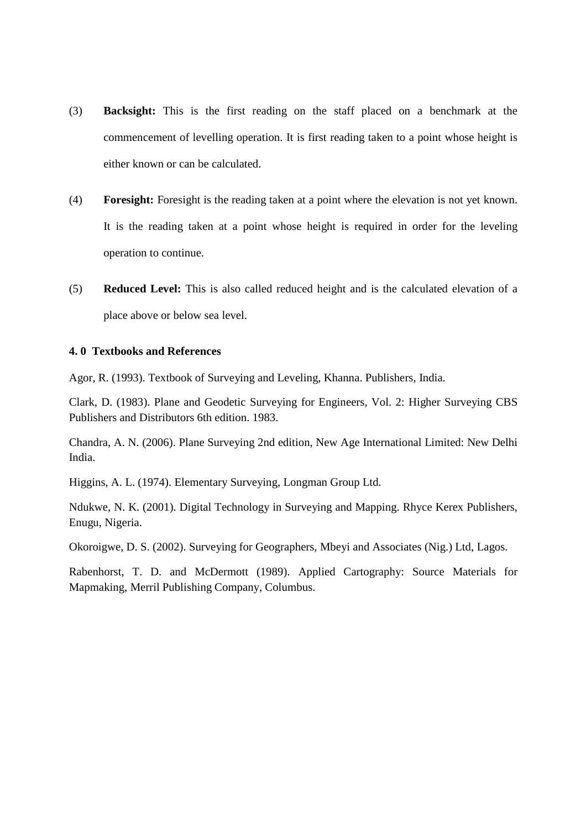- (3) **Backsight:** This is the first reading on the staff placed on a benchmark at the commencement of levelling operation. It is first reading taken to a point whose height is either known or can be calculated.
- (4) **Foresight:** Foresight is the reading taken at a point where the elevation is not yet known. It is the reading taken at a point whose height is required in order for the leveling operation to continue.
- (5) **Reduced Level:** This is also called reduced height and is the calculated elevation of a place above or below sea level.

# **4. 0 Textbooks and References**

Agor, R. (1993). Textbook of Surveying and Leveling, Khanna. Publishers, India.

Clark, D. (1983). Plane and Geodetic Surveying for Engineers, Vol. 2: Higher Surveying CBS Publishers and Distributors 6th edition. 1983.

Chandra, A. N. (2006). Plane Surveying 2nd edition, New Age International Limited: New Delhi India.

Higgins, A. L. (1974). Elementary Surveying, Longman Group Ltd.

Ndukwe, N. K. (2001). Digital Technology in Surveying and Mapping. Rhyce Kerex Publishers, Enugu, Nigeria.

Okoroigwe, D. S. (2002). Surveying for Geographers, Mbeyi and Associates (Nig.) Ltd, Lagos.

Rabenhorst, T. D. and McDermott (1989). Applied Cartography: Source Materials for Mapmaking, Merril Publishing Company, Columbus.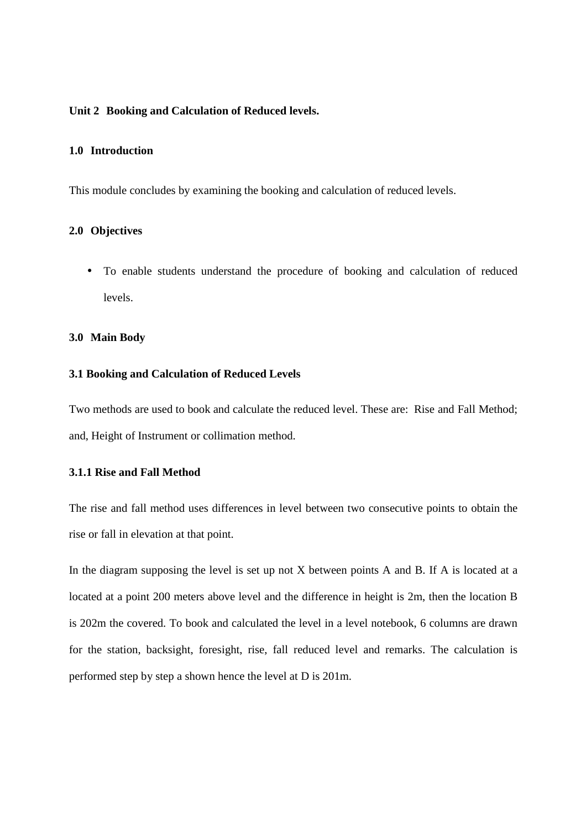#### **Unit 2 Booking and Calculation of Reduced levels.**

# **1.0 Introduction**

This module concludes by examining the booking and calculation of reduced levels.

#### **2.0 Objectives**

• To enable students understand the procedure of booking and calculation of reduced levels.

## **3.0 Main Body**

#### **3.1 Booking and Calculation of Reduced Levels**

Two methods are used to book and calculate the reduced level. These are: Rise and Fall Method; and, Height of Instrument or collimation method.

# **3.1.1 Rise and Fall Method**

The rise and fall method uses differences in level between two consecutive points to obtain the rise or fall in elevation at that point.

In the diagram supposing the level is set up not X between points A and B. If A is located at a located at a point 200 meters above level and the difference in height is 2m, then the location B is 202m the covered. To book and calculated the level in a level notebook, 6 columns are drawn for the station, backsight, foresight, rise, fall reduced level and remarks. The calculation is performed step by step a shown hence the level at D is 201m.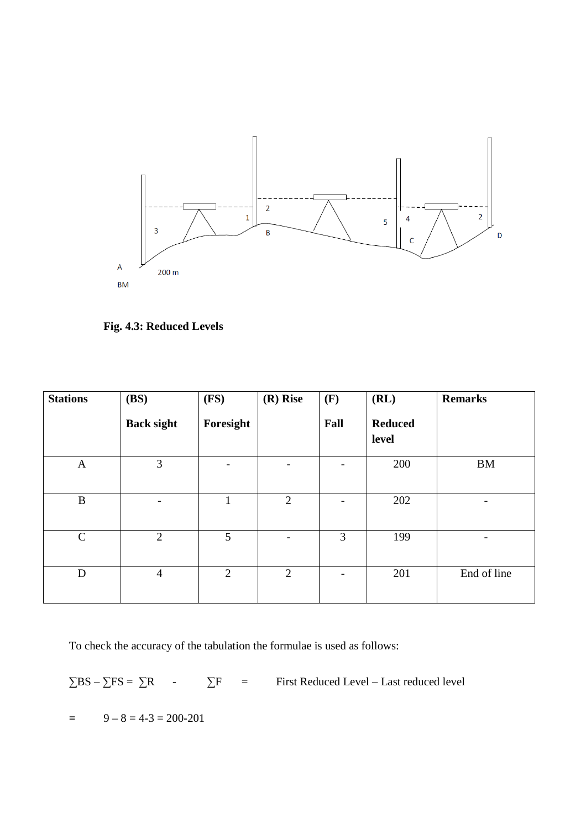

**Fig. 4.3: Reduced Levels** 

| <b>Stations</b> | (BS)              | (FS)                     | $(R)$ Rise     | (F)  | (RL)                    | <b>Remarks</b> |
|-----------------|-------------------|--------------------------|----------------|------|-------------------------|----------------|
|                 | <b>Back sight</b> | Foresight                |                | Fall | <b>Reduced</b><br>level |                |
| $\mathbf{A}$    | 3                 | $\overline{\phantom{a}}$ |                |      | 200                     | $\mathbf{BM}$  |
| B               |                   | $\mathbf{1}$             | $\overline{2}$ | -    | 202                     | -              |
| $\mathsf{C}$    | $\overline{2}$    | 5                        |                | 3    | 199                     |                |
| $\mathbf D$     | $\overline{4}$    | $\overline{2}$           | $\overline{2}$ |      | 201                     | End of line    |

To check the accuracy of the tabulation the formulae is used as follows:

 $\Sigma$ BS –  $\Sigma$ FS =  $\Sigma$ R -  $\Sigma$ F = First Reduced Level – Last reduced level

 $=$  9 – 8 = 4-3 = 200-201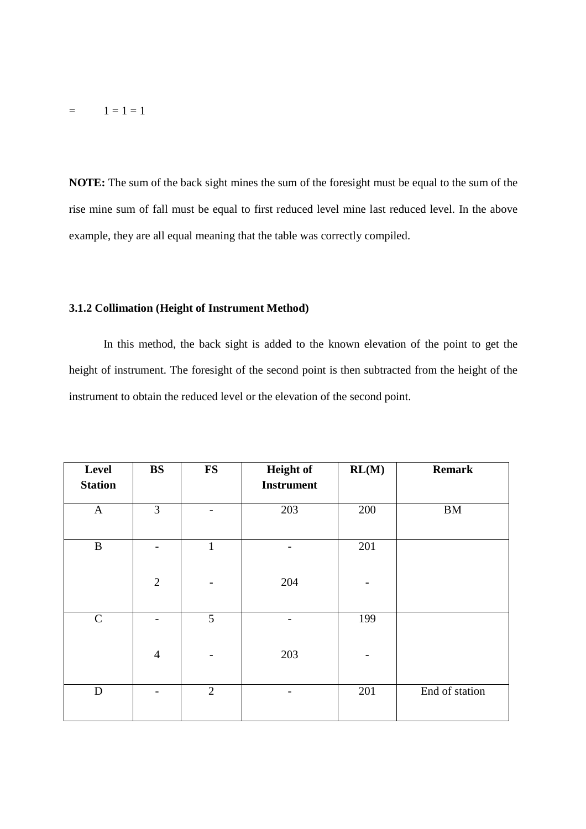$=$   $1 = 1 = 1$ 

**NOTE:** The sum of the back sight mines the sum of the foresight must be equal to the sum of the rise mine sum of fall must be equal to first reduced level mine last reduced level. In the above example, they are all equal meaning that the table was correctly compiled.

#### **3.1.2 Collimation (Height of Instrument Method)**

In this method, the back sight is added to the known elevation of the point to get the height of instrument. The foresight of the second point is then subtracted from the height of the instrument to obtain the reduced level or the elevation of the second point.

| Level<br><b>Station</b> | BS             | <b>FS</b>      | <b>Height of</b><br><b>Instrument</b> | RL(M) | <b>Remark</b>  |
|-------------------------|----------------|----------------|---------------------------------------|-------|----------------|
|                         |                |                |                                       |       |                |
| $\mathbf{A}$            | 3              |                | 203                                   | 200   | $\mathbf{BM}$  |
|                         |                |                |                                       |       |                |
| $\, {\bf B}$            |                | $\mathbf{1}$   |                                       | 201   |                |
|                         |                |                |                                       |       |                |
|                         | $\overline{2}$ |                | 204                                   |       |                |
|                         |                |                |                                       |       |                |
| $\mathbf C$             |                | 5              |                                       | 199   |                |
|                         |                |                |                                       |       |                |
|                         | $\overline{4}$ |                | 203                                   |       |                |
|                         |                |                |                                       |       |                |
| $\mathbf D$             |                | $\overline{2}$ |                                       | 201   | End of station |
|                         |                |                |                                       |       |                |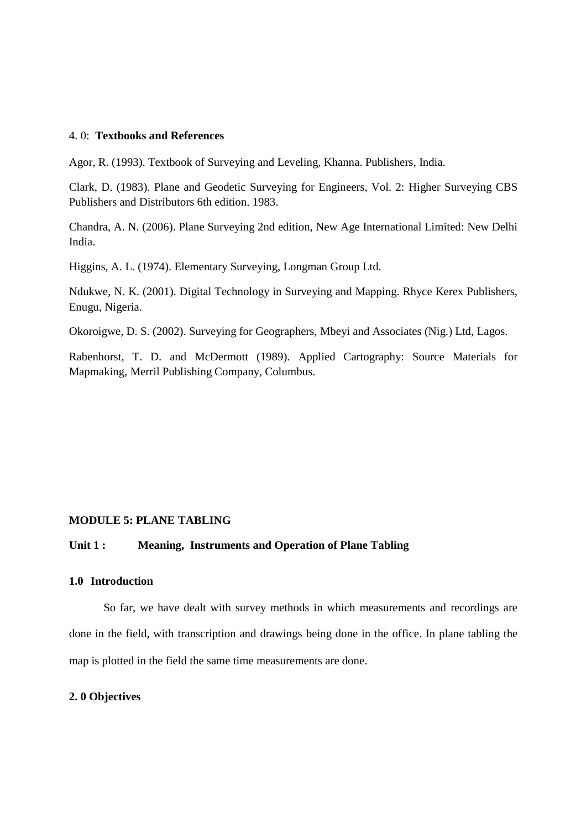#### 4. 0: **Textbooks and References**

Agor, R. (1993). Textbook of Surveying and Leveling, Khanna. Publishers, India.

Clark, D. (1983). Plane and Geodetic Surveying for Engineers, Vol. 2: Higher Surveying CBS Publishers and Distributors 6th edition. 1983.

Chandra, A. N. (2006). Plane Surveying 2nd edition, New Age International Limited: New Delhi India.

Higgins, A. L. (1974). Elementary Surveying, Longman Group Ltd.

Ndukwe, N. K. (2001). Digital Technology in Surveying and Mapping. Rhyce Kerex Publishers, Enugu, Nigeria.

Okoroigwe, D. S. (2002). Surveying for Geographers, Mbeyi and Associates (Nig.) Ltd, Lagos.

Rabenhorst, T. D. and McDermott (1989). Applied Cartography: Source Materials for Mapmaking, Merril Publishing Company, Columbus.

#### **MODULE 5: PLANE TABLING**

# **Unit 1 : Meaning, Instruments and Operation of Plane Tabling**

# **1.0 Introduction**

So far, we have dealt with survey methods in which measurements and recordings are done in the field, with transcription and drawings being done in the office. In plane tabling the map is plotted in the field the same time measurements are done.

# **2. 0 Objectives**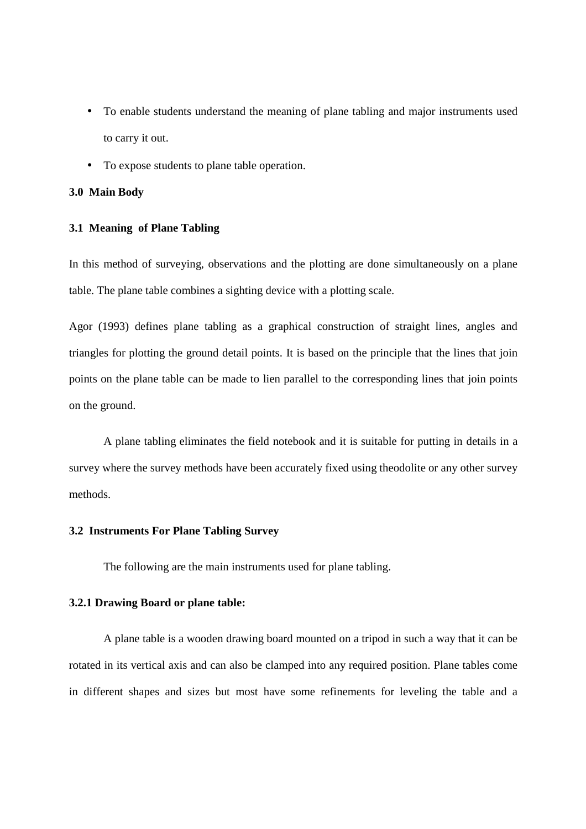- To enable students understand the meaning of plane tabling and major instruments used to carry it out.
- To expose students to plane table operation.

# **3.0 Main Body**

#### **3.1 Meaning of Plane Tabling**

In this method of surveying, observations and the plotting are done simultaneously on a plane table. The plane table combines a sighting device with a plotting scale.

Agor (1993) defines plane tabling as a graphical construction of straight lines, angles and triangles for plotting the ground detail points. It is based on the principle that the lines that join points on the plane table can be made to lien parallel to the corresponding lines that join points on the ground.

 A plane tabling eliminates the field notebook and it is suitable for putting in details in a survey where the survey methods have been accurately fixed using theodolite or any other survey methods.

#### **3.2 Instruments For Plane Tabling Survey**

The following are the main instruments used for plane tabling.

#### **3.2.1 Drawing Board or plane table:**

 A plane table is a wooden drawing board mounted on a tripod in such a way that it can be rotated in its vertical axis and can also be clamped into any required position. Plane tables come in different shapes and sizes but most have some refinements for leveling the table and a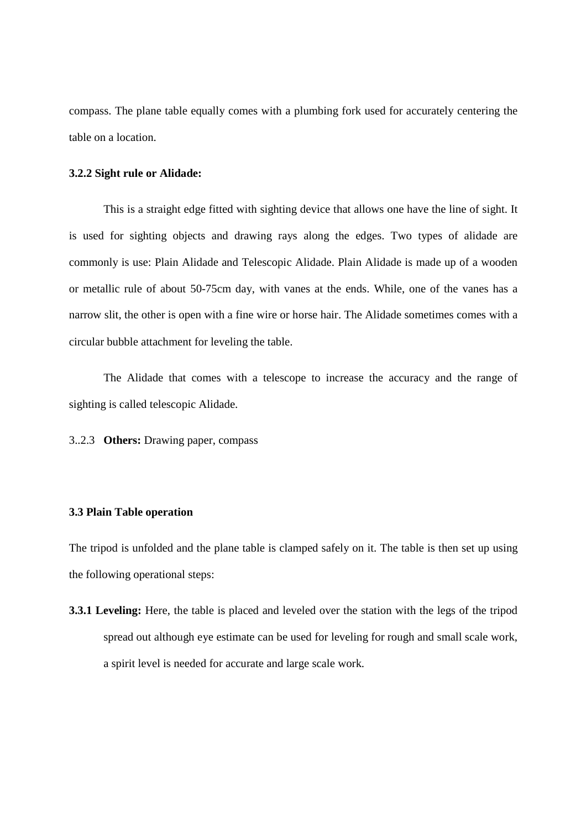compass. The plane table equally comes with a plumbing fork used for accurately centering the table on a location.

#### **3.2.2 Sight rule or Alidade:**

 This is a straight edge fitted with sighting device that allows one have the line of sight. It is used for sighting objects and drawing rays along the edges. Two types of alidade are commonly is use: Plain Alidade and Telescopic Alidade. Plain Alidade is made up of a wooden or metallic rule of about 50-75cm day, with vanes at the ends. While, one of the vanes has a narrow slit, the other is open with a fine wire or horse hair. The Alidade sometimes comes with a circular bubble attachment for leveling the table.

 The Alidade that comes with a telescope to increase the accuracy and the range of sighting is called telescopic Alidade.

3..2.3 **Others:** Drawing paper, compass

## **3.3 Plain Table operation**

The tripod is unfolded and the plane table is clamped safely on it. The table is then set up using the following operational steps:

**3.3.1 Leveling:** Here, the table is placed and leveled over the station with the legs of the tripod spread out although eye estimate can be used for leveling for rough and small scale work, a spirit level is needed for accurate and large scale work.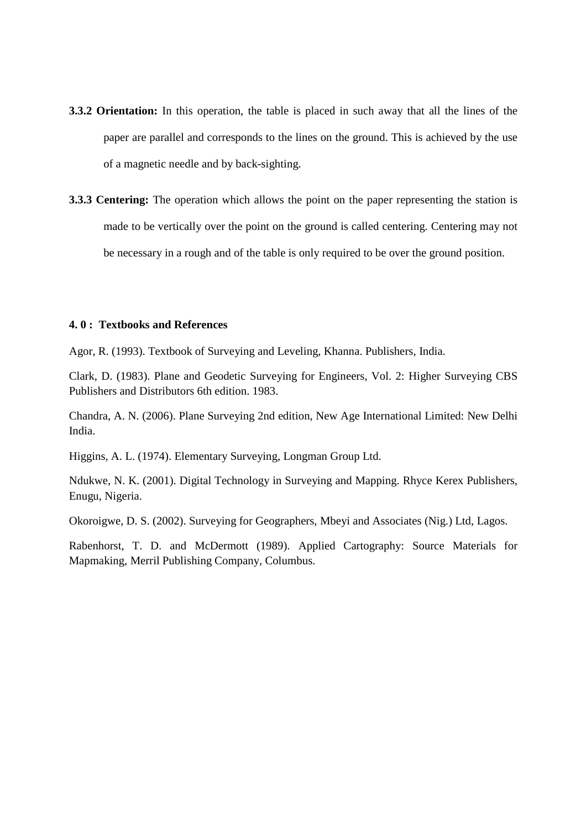- **3.3.2 Orientation:** In this operation, the table is placed in such away that all the lines of the paper are parallel and corresponds to the lines on the ground. This is achieved by the use of a magnetic needle and by back-sighting.
- **3.3.3 Centering:** The operation which allows the point on the paper representing the station is made to be vertically over the point on the ground is called centering. Centering may not be necessary in a rough and of the table is only required to be over the ground position.

#### **4. 0 : Textbooks and References**

Agor, R. (1993). Textbook of Surveying and Leveling, Khanna. Publishers, India.

Clark, D. (1983). Plane and Geodetic Surveying for Engineers, Vol. 2: Higher Surveying CBS Publishers and Distributors 6th edition. 1983.

Chandra, A. N. (2006). Plane Surveying 2nd edition, New Age International Limited: New Delhi India.

Higgins, A. L. (1974). Elementary Surveying, Longman Group Ltd.

Ndukwe, N. K. (2001). Digital Technology in Surveying and Mapping. Rhyce Kerex Publishers, Enugu, Nigeria.

Okoroigwe, D. S. (2002). Surveying for Geographers, Mbeyi and Associates (Nig.) Ltd, Lagos.

Rabenhorst, T. D. and McDermott (1989). Applied Cartography: Source Materials for Mapmaking, Merril Publishing Company, Columbus.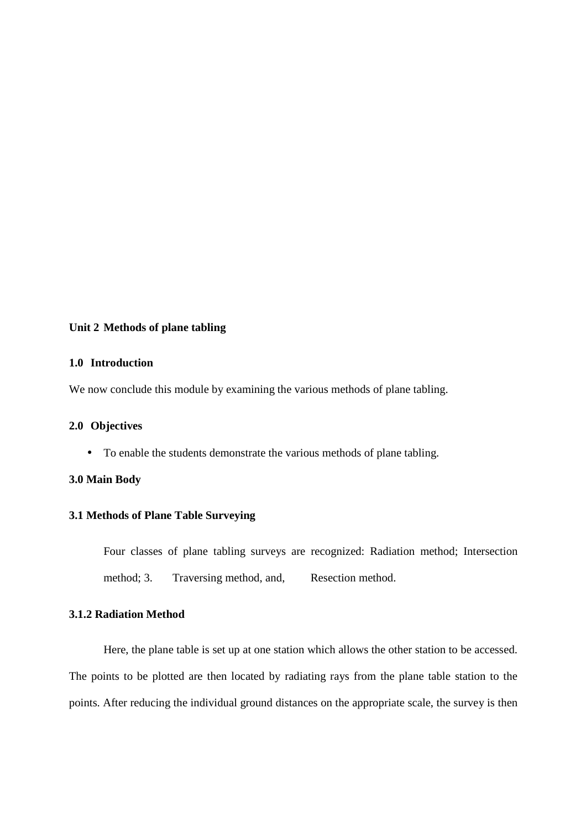## **Unit 2 Methods of plane tabling**

#### **1.0 Introduction**

We now conclude this module by examining the various methods of plane tabling.

#### **2.0 Objectives**

• To enable the students demonstrate the various methods of plane tabling.

# **3.0 Main Body**

# **3.1 Methods of Plane Table Surveying**

Four classes of plane tabling surveys are recognized: Radiation method; Intersection method; 3. Traversing method, and, Resection method.

# **3.1.2 Radiation Method**

Here, the plane table is set up at one station which allows the other station to be accessed. The points to be plotted are then located by radiating rays from the plane table station to the points. After reducing the individual ground distances on the appropriate scale, the survey is then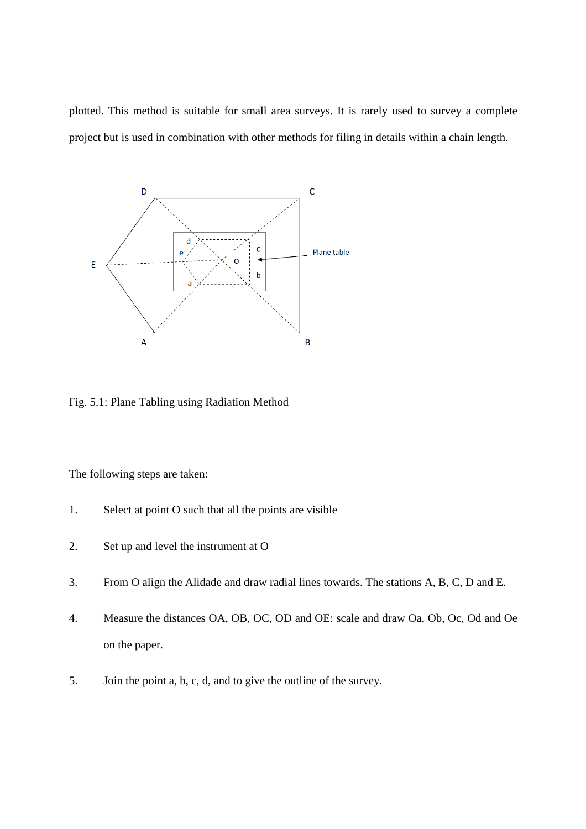plotted. This method is suitable for small area surveys. It is rarely used to survey a complete project but is used in combination with other methods for filing in details within a chain length.



Fig. 5.1: Plane Tabling using Radiation Method

The following steps are taken:

- 1. Select at point O such that all the points are visible
- 2. Set up and level the instrument at O
- 3. From O align the Alidade and draw radial lines towards. The stations A, B, C, D and E.
- 4. Measure the distances OA, OB, OC, OD and OE: scale and draw Oa, Ob, Oc, Od and Oe on the paper.
- 5. Join the point a, b, c, d, and to give the outline of the survey.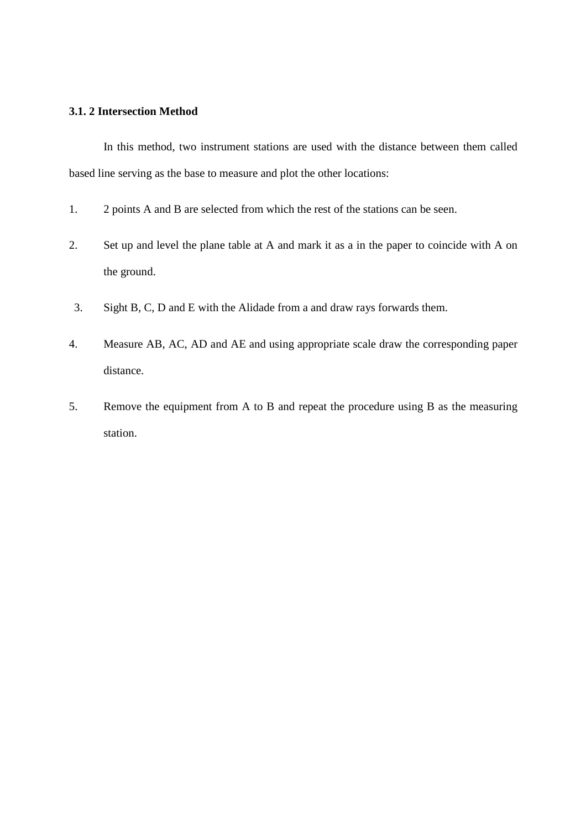# **3.1. 2 Intersection Method**

In this method, two instrument stations are used with the distance between them called based line serving as the base to measure and plot the other locations:

- 1. 2 points A and B are selected from which the rest of the stations can be seen.
- 2. Set up and level the plane table at A and mark it as a in the paper to coincide with A on the ground.
- 3. Sight B, C, D and E with the Alidade from a and draw rays forwards them.
- 4. Measure AB, AC, AD and AE and using appropriate scale draw the corresponding paper distance.
- 5. Remove the equipment from A to B and repeat the procedure using B as the measuring station.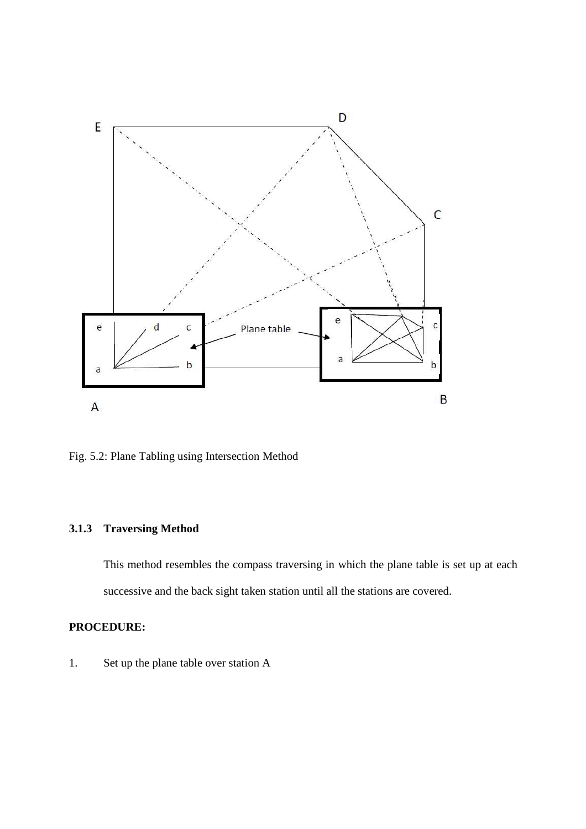

Fig. 5.2: Plane Tabling using Intersection Method

# **3.1.3 Traversing Method**

This method resembles the compass traversing in which the plane table is set up at each successive and the back sight taken station until all the stations are covered.

# **PROCEDURE:**

1. Set up the plane table over station A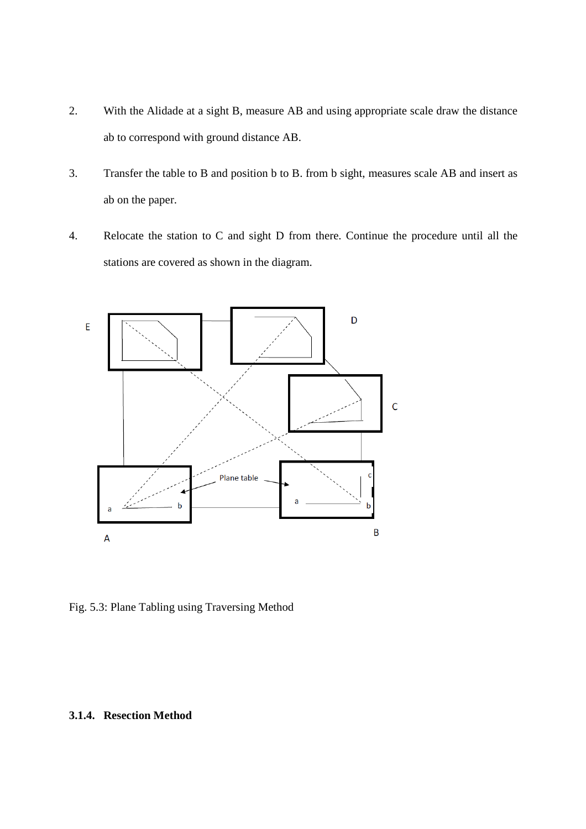- 2. With the Alidade at a sight B, measure AB and using appropriate scale draw the distance ab to correspond with ground distance AB.
- 3. Transfer the table to B and position b to B. from b sight, measures scale AB and insert as ab on the paper.
- 4. Relocate the station to C and sight D from there. Continue the procedure until all the stations are covered as shown in the diagram.



Fig. 5.3: Plane Tabling using Traversing Method

# **3.1.4. Resection Method**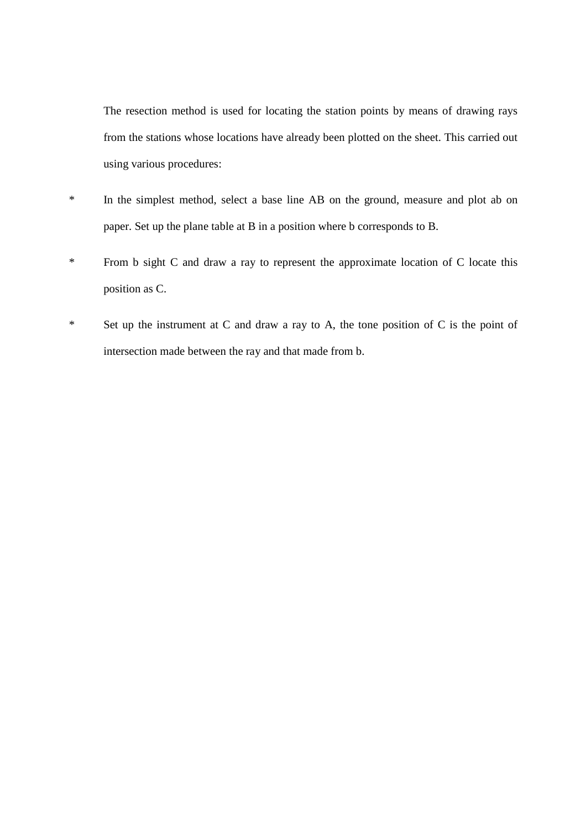The resection method is used for locating the station points by means of drawing rays from the stations whose locations have already been plotted on the sheet. This carried out using various procedures:

- \* In the simplest method, select a base line AB on the ground, measure and plot ab on paper. Set up the plane table at B in a position where b corresponds to B.
- \* From b sight C and draw a ray to represent the approximate location of C locate this position as C.
- \* Set up the instrument at C and draw a ray to A, the tone position of C is the point of intersection made between the ray and that made from b.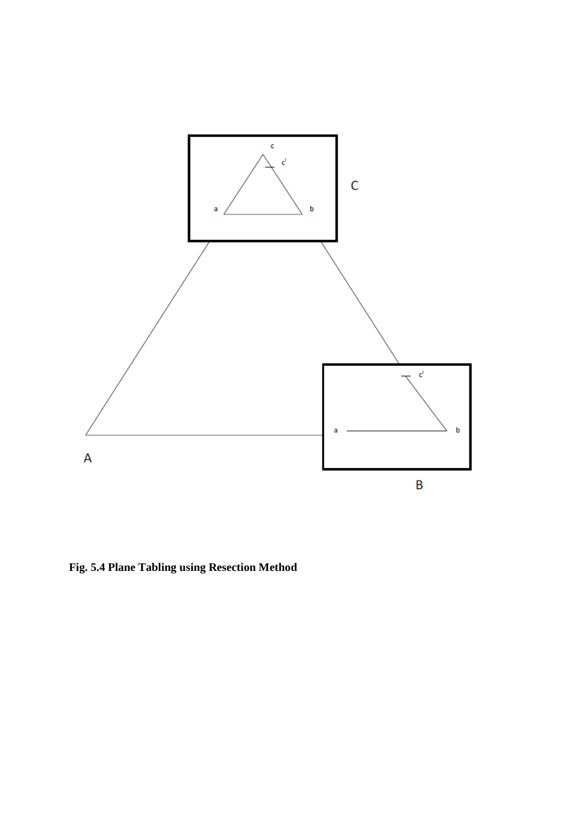

**Fig. 5.4 Plane Tabling using Resection Method**